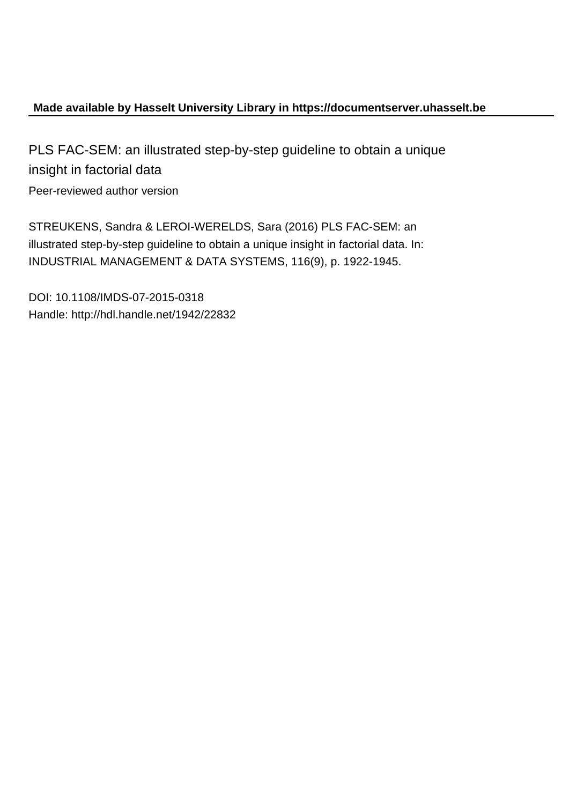# **Made available by Hasselt University Library in https://documentserver.uhasselt.be**

PLS FAC-SEM: an illustrated step-by-step guideline to obtain a unique insight in factorial data Peer-reviewed author version

STREUKENS, Sandra & LEROI-WERELDS, Sara (2016) PLS FAC-SEM: an illustrated step-by-step guideline to obtain a unique insight in factorial data. In: INDUSTRIAL MANAGEMENT & DATA SYSTEMS, 116(9), p. 1922-1945.

DOI: 10.1108/IMDS-07-2015-0318 Handle: http://hdl.handle.net/1942/22832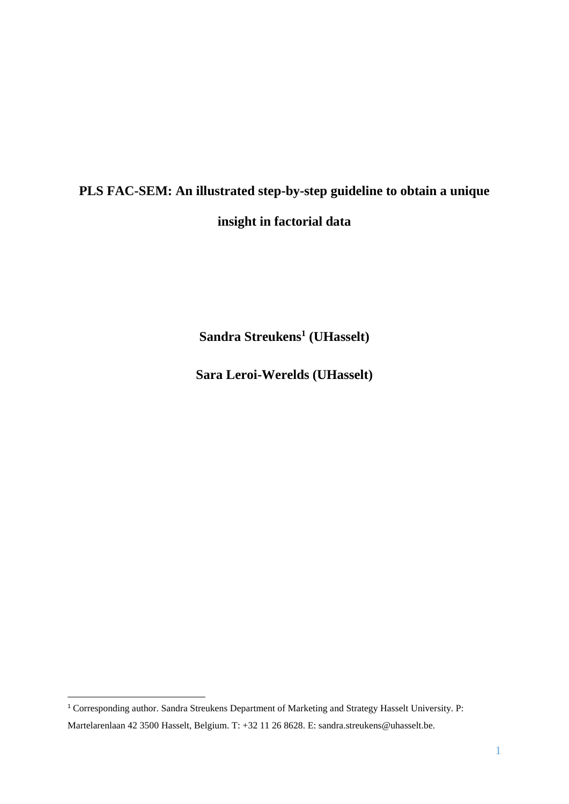# **PLS FAC-SEM: An illustrated step-by-step guideline to obtain a unique insight in factorial data**

**Sandra Streukens<sup>1</sup> (UHasselt)**

**Sara Leroi-Werelds (UHasselt)**

 $\overline{\phantom{a}}$ 

<sup>1</sup> Corresponding author. Sandra Streukens Department of Marketing and Strategy Hasselt University. P:

Martelarenlaan 42 3500 Hasselt, Belgium. T: +32 11 26 8628. E: sandra.streukens@uhasselt.be.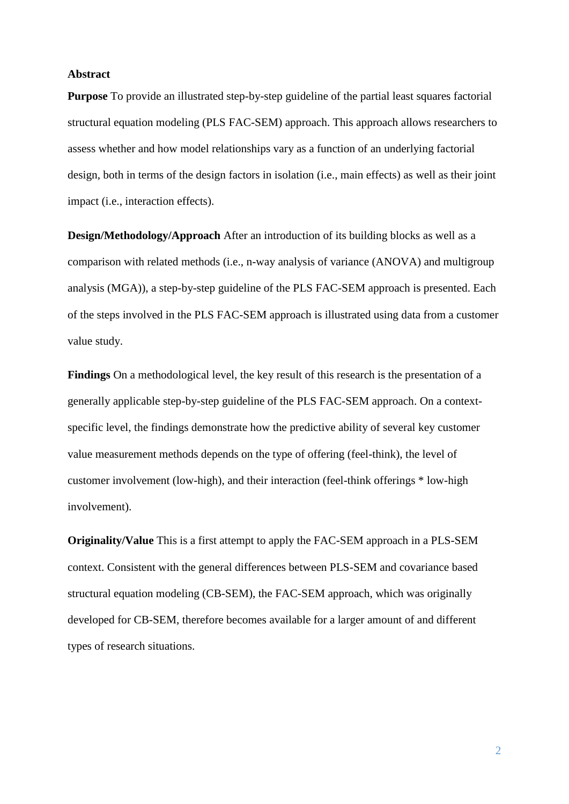#### **Abstract**

**Purpose** To provide an illustrated step-by-step guideline of the partial least squares factorial structural equation modeling (PLS FAC-SEM) approach. This approach allows researchers to assess whether and how model relationships vary as a function of an underlying factorial design, both in terms of the design factors in isolation (i.e., main effects) as well as their joint impact (i.e., interaction effects).

**Design/Methodology/Approach** After an introduction of its building blocks as well as a comparison with related methods (i.e., n-way analysis of variance (ANOVA) and multigroup analysis (MGA)), a step-by-step guideline of the PLS FAC-SEM approach is presented. Each of the steps involved in the PLS FAC-SEM approach is illustrated using data from a customer value study.

**Findings** On a methodological level, the key result of this research is the presentation of a generally applicable step-by-step guideline of the PLS FAC-SEM approach. On a contextspecific level, the findings demonstrate how the predictive ability of several key customer value measurement methods depends on the type of offering (feel-think), the level of customer involvement (low-high), and their interaction (feel-think offerings \* low-high involvement).

**Originality/Value** This is a first attempt to apply the FAC-SEM approach in a PLS-SEM context. Consistent with the general differences between PLS-SEM and covariance based structural equation modeling (CB-SEM), the FAC-SEM approach, which was originally developed for CB-SEM, therefore becomes available for a larger amount of and different types of research situations.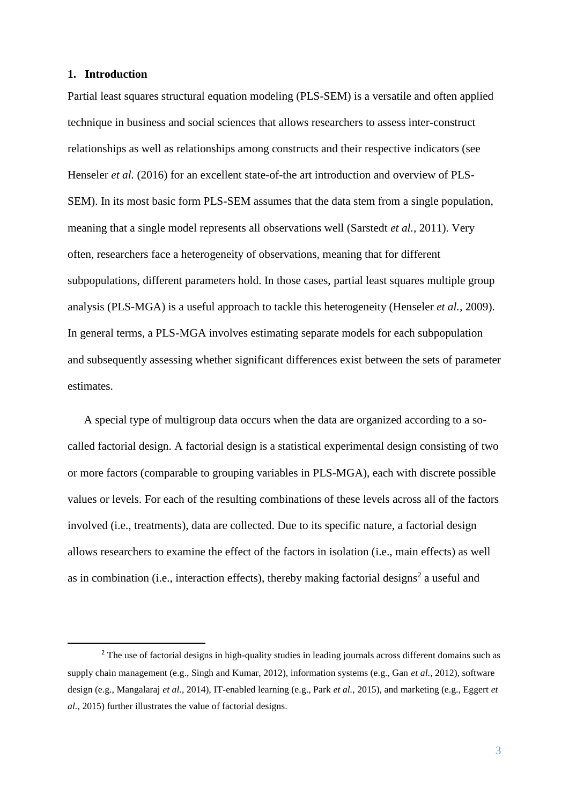# **1. Introduction**

**.** 

Partial least squares structural equation modeling (PLS-SEM) is a versatile and often applied technique in business and social sciences that allows researchers to assess inter-construct relationships as well as relationships among constructs and their respective indicators (see Henseler *et al.* (2016) for an excellent state-of-the art introduction and overview of PLS-SEM). In its most basic form PLS-SEM assumes that the data stem from a single population, meaning that a single model represents all observations well (Sarstedt *et al.,* 2011). Very often, researchers face a heterogeneity of observations, meaning that for different subpopulations, different parameters hold. In those cases, partial least squares multiple group analysis (PLS-MGA) is a useful approach to tackle this heterogeneity (Henseler *et al.,* 2009). In general terms, a PLS-MGA involves estimating separate models for each subpopulation and subsequently assessing whether significant differences exist between the sets of parameter estimates.

A special type of multigroup data occurs when the data are organized according to a socalled factorial design. A factorial design is a statistical experimental design consisting of two or more factors (comparable to grouping variables in PLS-MGA), each with discrete possible values or levels. For each of the resulting combinations of these levels across all of the factors involved (i.e., treatments), data are collected. Due to its specific nature, a factorial design allows researchers to examine the effect of the factors in isolation (i.e., main effects) as well as in combination (i.e., interaction effects), thereby making factorial designs<sup>2</sup> a useful and

<sup>&</sup>lt;sup>2</sup> The use of factorial designs in high-quality studies in leading journals across different domains such as supply chain management (e.g., Singh and Kumar, 2012), information systems (e.g., Gan *et al.*, 2012), software design (e.g., Mangalaraj *et al.*, 2014), IT-enabled learning (e.g., Park *et al.*, 2015), and marketing (e.g., Eggert *et al.*, 2015) further illustrates the value of factorial designs.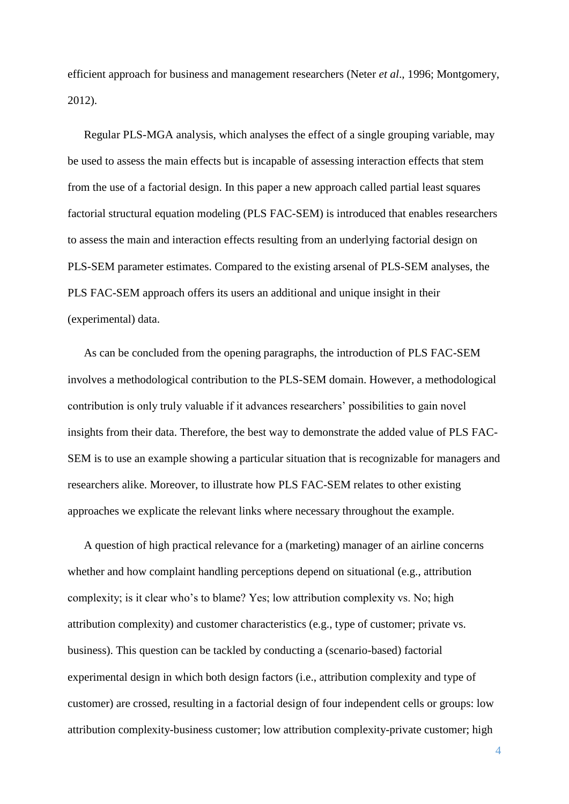efficient approach for business and management researchers (Neter *et al*., 1996; Montgomery, 2012).

Regular PLS-MGA analysis, which analyses the effect of a single grouping variable, may be used to assess the main effects but is incapable of assessing interaction effects that stem from the use of a factorial design. In this paper a new approach called partial least squares factorial structural equation modeling (PLS FAC-SEM) is introduced that enables researchers to assess the main and interaction effects resulting from an underlying factorial design on PLS-SEM parameter estimates. Compared to the existing arsenal of PLS-SEM analyses, the PLS FAC-SEM approach offers its users an additional and unique insight in their (experimental) data.

As can be concluded from the opening paragraphs, the introduction of PLS FAC-SEM involves a methodological contribution to the PLS-SEM domain. However, a methodological contribution is only truly valuable if it advances researchers' possibilities to gain novel insights from their data. Therefore, the best way to demonstrate the added value of PLS FAC-SEM is to use an example showing a particular situation that is recognizable for managers and researchers alike. Moreover, to illustrate how PLS FAC-SEM relates to other existing approaches we explicate the relevant links where necessary throughout the example.

A question of high practical relevance for a (marketing) manager of an airline concerns whether and how complaint handling perceptions depend on situational (e.g., attribution complexity; is it clear who's to blame? Yes; low attribution complexity vs. No; high attribution complexity) and customer characteristics (e.g., type of customer; private vs. business). This question can be tackled by conducting a (scenario-based) factorial experimental design in which both design factors (i.e., attribution complexity and type of customer) are crossed, resulting in a factorial design of four independent cells or groups: low attribution complexity-business customer; low attribution complexity-private customer; high

4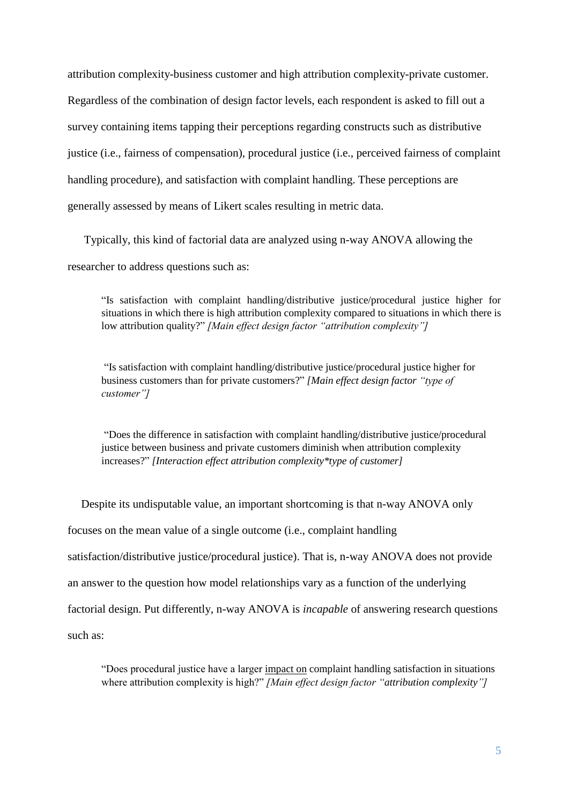attribution complexity-business customer and high attribution complexity-private customer. Regardless of the combination of design factor levels, each respondent is asked to fill out a survey containing items tapping their perceptions regarding constructs such as distributive justice (i.e., fairness of compensation), procedural justice (i.e., perceived fairness of complaint handling procedure), and satisfaction with complaint handling. These perceptions are generally assessed by means of Likert scales resulting in metric data.

Typically, this kind of factorial data are analyzed using n-way ANOVA allowing the researcher to address questions such as:

"Is satisfaction with complaint handling/distributive justice/procedural justice higher for situations in which there is high attribution complexity compared to situations in which there is low attribution quality?" *[Main effect design factor "attribution complexity"]*

"Is satisfaction with complaint handling/distributive justice/procedural justice higher for business customers than for private customers?" *[Main effect design factor "type of customer"]*

"Does the difference in satisfaction with complaint handling/distributive justice/procedural justice between business and private customers diminish when attribution complexity increases?" *[Interaction effect attribution complexity\*type of customer]*

Despite its undisputable value, an important shortcoming is that n-way ANOVA only focuses on the mean value of a single outcome (i.e., complaint handling satisfaction/distributive justice/procedural justice). That is, n-way ANOVA does not provide an answer to the question how model relationships vary as a function of the underlying factorial design. Put differently, n-way ANOVA is *incapable* of answering research questions such as:

"Does procedural justice have a larger impact on complaint handling satisfaction in situations where attribution complexity is high?" *[Main effect design factor "attribution complexity"]*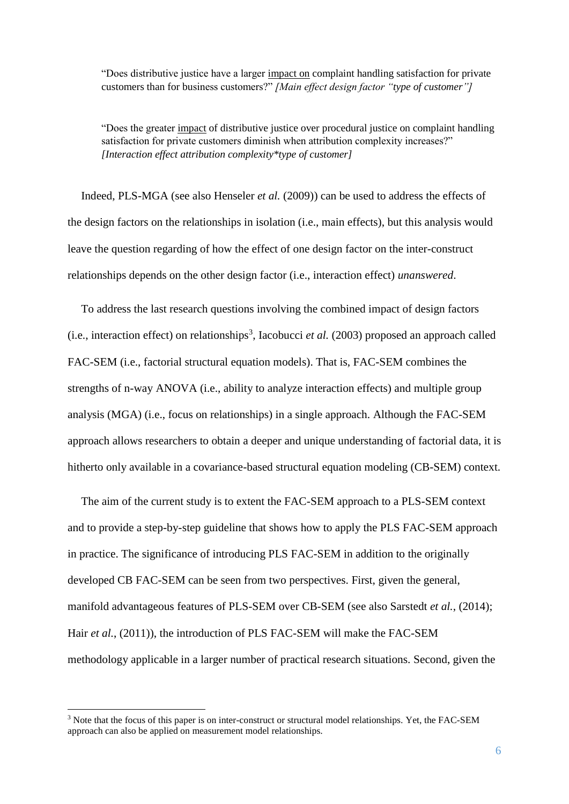"Does distributive justice have a larger impact on complaint handling satisfaction for private customers than for business customers?" *[Main effect design factor "type of customer"]*

"Does the greater impact of distributive justice over procedural justice on complaint handling satisfaction for private customers diminish when attribution complexity increases?" *[Interaction effect attribution complexity\*type of customer]*

Indeed, PLS-MGA (see also Henseler *et al.* (2009)) can be used to address the effects of the design factors on the relationships in isolation (i.e., main effects), but this analysis would leave the question regarding of how the effect of one design factor on the inter-construct relationships depends on the other design factor (i.e., interaction effect) *unanswered*.

To address the last research questions involving the combined impact of design factors  $(i.e., interaction effect)$  on relationships<sup>3</sup>, Iacobucci *et al.* (2003) proposed an approach called FAC-SEM (i.e., factorial structural equation models). That is, FAC-SEM combines the strengths of n-way ANOVA (i.e., ability to analyze interaction effects) and multiple group analysis (MGA) (i.e., focus on relationships) in a single approach. Although the FAC-SEM approach allows researchers to obtain a deeper and unique understanding of factorial data, it is hitherto only available in a covariance-based structural equation modeling (CB-SEM) context.

The aim of the current study is to extent the FAC-SEM approach to a PLS-SEM context and to provide a step-by-step guideline that shows how to apply the PLS FAC-SEM approach in practice. The significance of introducing PLS FAC-SEM in addition to the originally developed CB FAC-SEM can be seen from two perspectives. First, given the general, manifold advantageous features of PLS-SEM over CB-SEM (see also Sarstedt *et al.*, (2014); Hair *et al.*, (2011)), the introduction of PLS FAC-SEM will make the FAC-SEM methodology applicable in a larger number of practical research situations. Second, given the

**.** 

<sup>&</sup>lt;sup>3</sup> Note that the focus of this paper is on inter-construct or structural model relationships. Yet, the FAC-SEM approach can also be applied on measurement model relationships.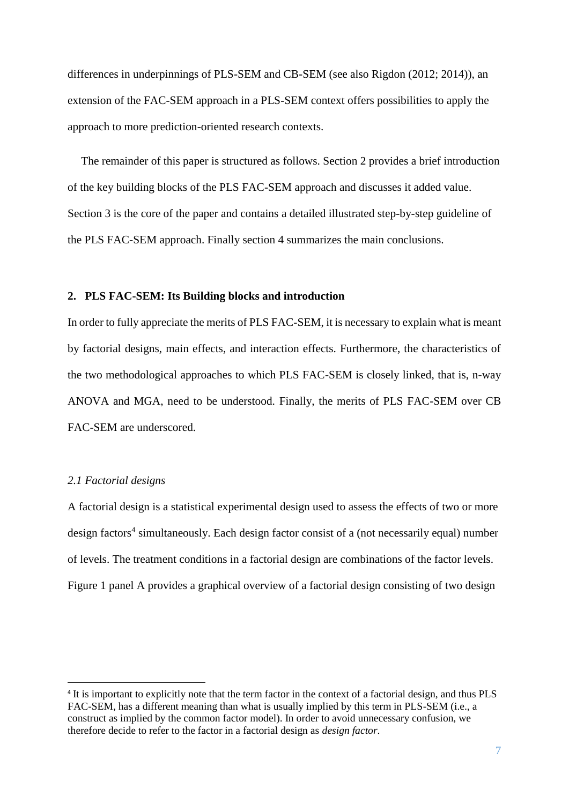differences in underpinnings of PLS-SEM and CB-SEM (see also Rigdon (2012; 2014)), an extension of the FAC-SEM approach in a PLS-SEM context offers possibilities to apply the approach to more prediction-oriented research contexts.

The remainder of this paper is structured as follows. Section 2 provides a brief introduction of the key building blocks of the PLS FAC-SEM approach and discusses it added value. Section 3 is the core of the paper and contains a detailed illustrated step-by-step guideline of the PLS FAC-SEM approach. Finally section 4 summarizes the main conclusions.

#### **2. PLS FAC-SEM: Its Building blocks and introduction**

In order to fully appreciate the merits of PLS FAC-SEM, it is necessary to explain what is meant by factorial designs, main effects, and interaction effects. Furthermore, the characteristics of the two methodological approaches to which PLS FAC-SEM is closely linked, that is, n-way ANOVA and MGA, need to be understood. Finally, the merits of PLS FAC-SEM over CB FAC-SEM are underscored.

## *2.1 Factorial designs*

 $\overline{\phantom{a}}$ 

A factorial design is a statistical experimental design used to assess the effects of two or more design factors<sup>4</sup> simultaneously. Each design factor consist of a (not necessarily equal) number of levels. The treatment conditions in a factorial design are combinations of the factor levels. Figure 1 panel A provides a graphical overview of a factorial design consisting of two design

<sup>&</sup>lt;sup>4</sup> It is important to explicitly note that the term factor in the context of a factorial design, and thus PLS FAC-SEM, has a different meaning than what is usually implied by this term in PLS-SEM (i.e., a construct as implied by the common factor model). In order to avoid unnecessary confusion, we therefore decide to refer to the factor in a factorial design as *design factor*.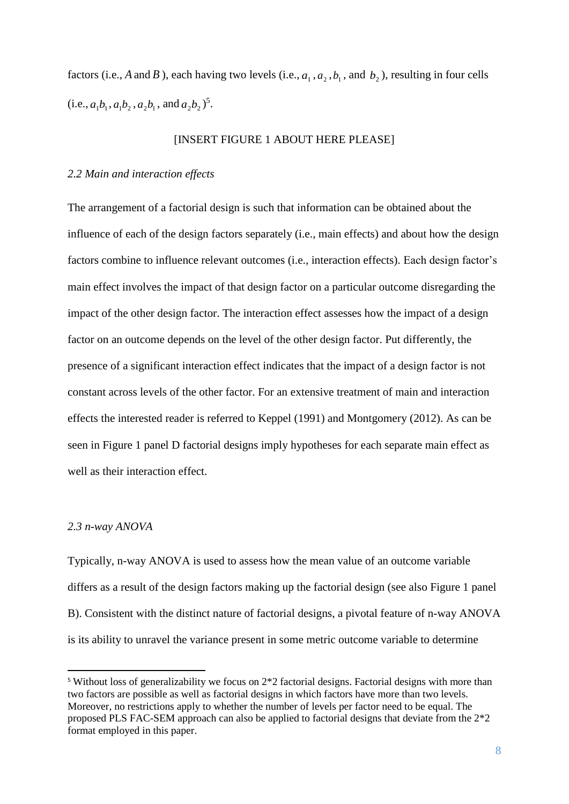factors (i.e., A and B), each having two levels (i.e.,  $a_1$ ,  $a_2$ ,  $b_1$ , and  $b_2$ ), resulting in four cells  $(i.e., a_1b_1, a_1b_2, a_2b_1, \text{ and } a_2b_2)^5.$ 

#### [INSERT FIGURE 1 ABOUT HERE PLEASE]

# *2.2 Main and interaction effects*

The arrangement of a factorial design is such that information can be obtained about the influence of each of the design factors separately (i.e., main effects) and about how the design factors combine to influence relevant outcomes (i.e., interaction effects). Each design factor's main effect involves the impact of that design factor on a particular outcome disregarding the impact of the other design factor. The interaction effect assesses how the impact of a design factor on an outcome depends on the level of the other design factor. Put differently, the presence of a significant interaction effect indicates that the impact of a design factor is not constant across levels of the other factor. For an extensive treatment of main and interaction effects the interested reader is referred to Keppel (1991) and Montgomery (2012). As can be seen in Figure 1 panel D factorial designs imply hypotheses for each separate main effect as well as their interaction effect.

#### *2.3 n-way ANOVA*

**.** 

Typically, n-way ANOVA is used to assess how the mean value of an outcome variable differs as a result of the design factors making up the factorial design (see also Figure 1 panel B). Consistent with the distinct nature of factorial designs, a pivotal feature of n-way ANOVA is its ability to unravel the variance present in some metric outcome variable to determine

<sup>5</sup> Without loss of generalizability we focus on 2\*2 factorial designs. Factorial designs with more than two factors are possible as well as factorial designs in which factors have more than two levels. Moreover, no restrictions apply to whether the number of levels per factor need to be equal. The proposed PLS FAC-SEM approach can also be applied to factorial designs that deviate from the 2\*2 format employed in this paper.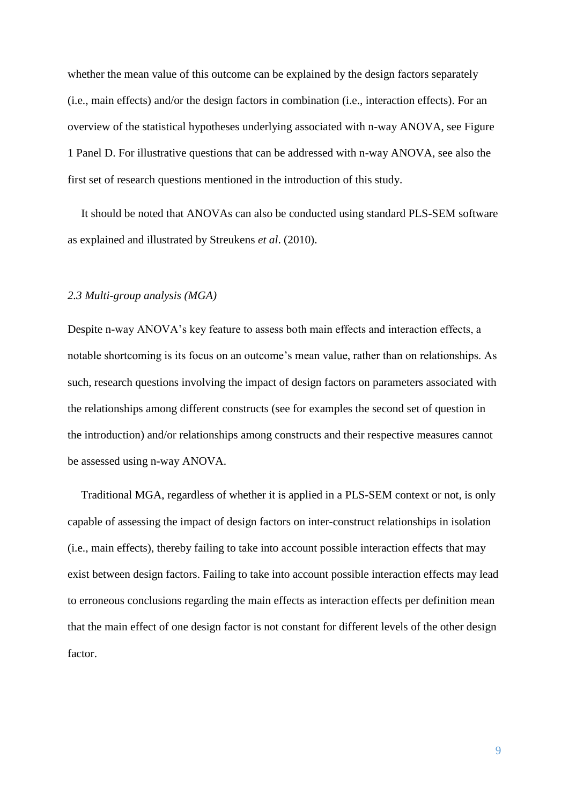whether the mean value of this outcome can be explained by the design factors separately (i.e., main effects) and/or the design factors in combination (i.e., interaction effects). For an overview of the statistical hypotheses underlying associated with n-way ANOVA, see Figure 1 Panel D. For illustrative questions that can be addressed with n-way ANOVA, see also the first set of research questions mentioned in the introduction of this study.

It should be noted that ANOVAs can also be conducted using standard PLS-SEM software as explained and illustrated by Streukens *et al*. (2010).

#### *2.3 Multi-group analysis (MGA)*

Despite n-way ANOVA's key feature to assess both main effects and interaction effects, a notable shortcoming is its focus on an outcome's mean value, rather than on relationships. As such, research questions involving the impact of design factors on parameters associated with the relationships among different constructs (see for examples the second set of question in the introduction) and/or relationships among constructs and their respective measures cannot be assessed using n-way ANOVA.

Traditional MGA, regardless of whether it is applied in a PLS-SEM context or not, is only capable of assessing the impact of design factors on inter-construct relationships in isolation (i.e., main effects), thereby failing to take into account possible interaction effects that may exist between design factors. Failing to take into account possible interaction effects may lead to erroneous conclusions regarding the main effects as interaction effects per definition mean that the main effect of one design factor is not constant for different levels of the other design factor.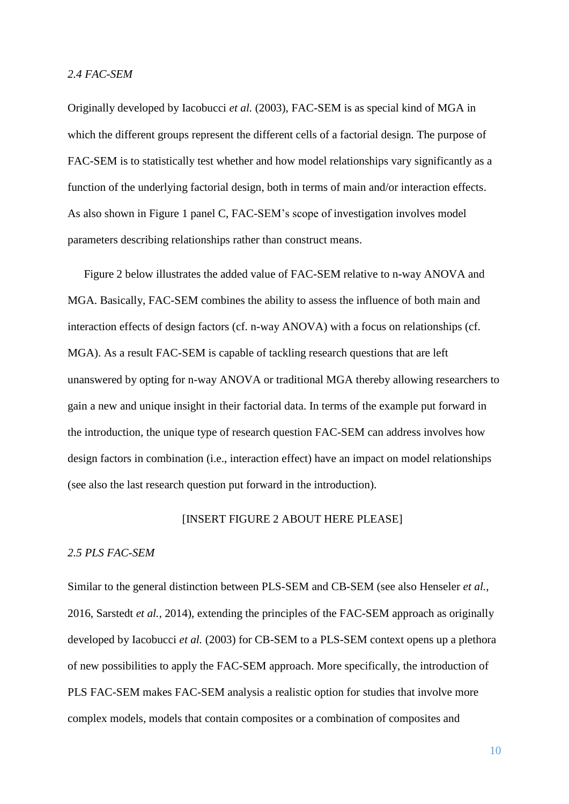# *2.4 FAC-SEM*

Originally developed by Iacobucci *et al.* (2003), FAC-SEM is as special kind of MGA in which the different groups represent the different cells of a factorial design. The purpose of FAC-SEM is to statistically test whether and how model relationships vary significantly as a function of the underlying factorial design, both in terms of main and/or interaction effects. As also shown in Figure 1 panel C, FAC-SEM's scope of investigation involves model parameters describing relationships rather than construct means.

Figure 2 below illustrates the added value of FAC-SEM relative to n-way ANOVA and MGA. Basically, FAC-SEM combines the ability to assess the influence of both main and interaction effects of design factors (cf. n-way ANOVA) with a focus on relationships (cf. MGA). As a result FAC-SEM is capable of tackling research questions that are left unanswered by opting for n-way ANOVA or traditional MGA thereby allowing researchers to gain a new and unique insight in their factorial data. In terms of the example put forward in the introduction, the unique type of research question FAC-SEM can address involves how design factors in combination (i.e., interaction effect) have an impact on model relationships (see also the last research question put forward in the introduction).

# [INSERT FIGURE 2 ABOUT HERE PLEASE]

#### *2.5 PLS FAC-SEM*

Similar to the general distinction between PLS-SEM and CB-SEM (see also Henseler *et al.*, 2016, Sarstedt *et al.*, 2014), extending the principles of the FAC-SEM approach as originally developed by Iacobucci *et al.* (2003) for CB-SEM to a PLS-SEM context opens up a plethora of new possibilities to apply the FAC-SEM approach. More specifically, the introduction of PLS FAC-SEM makes FAC-SEM analysis a realistic option for studies that involve more complex models, models that contain composites or a combination of composites and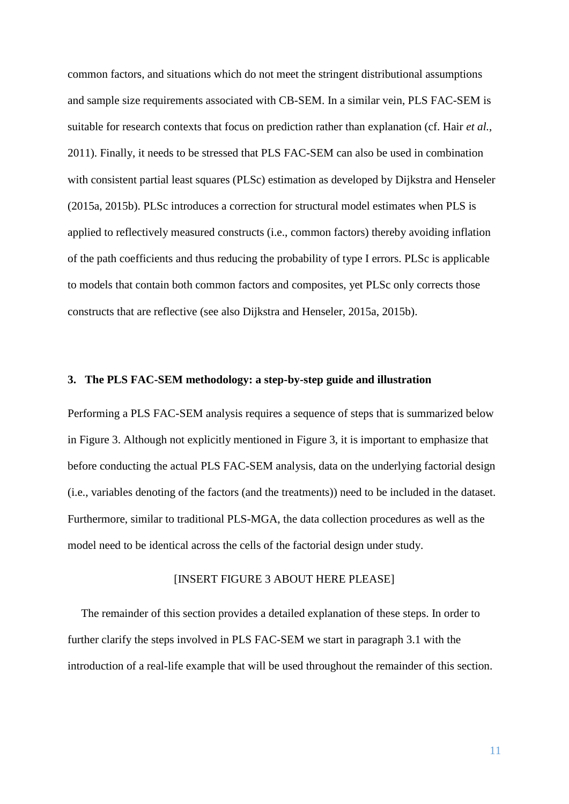common factors, and situations which do not meet the stringent distributional assumptions and sample size requirements associated with CB-SEM. In a similar vein, PLS FAC-SEM is suitable for research contexts that focus on prediction rather than explanation (cf. Hair *et al.*, 2011). Finally, it needs to be stressed that PLS FAC-SEM can also be used in combination with consistent partial least squares (PLSc) estimation as developed by Dijkstra and Henseler (2015a, 2015b). PLSc introduces a correction for structural model estimates when PLS is applied to reflectively measured constructs (i.e., common factors) thereby avoiding inflation of the path coefficients and thus reducing the probability of type I errors. PLSc is applicable to models that contain both common factors and composites, yet PLSc only corrects those constructs that are reflective (see also Dijkstra and Henseler, 2015a, 2015b).

# **3. The PLS FAC-SEM methodology: a step-by-step guide and illustration**

Performing a PLS FAC-SEM analysis requires a sequence of steps that is summarized below in Figure 3. Although not explicitly mentioned in Figure 3, it is important to emphasize that before conducting the actual PLS FAC-SEM analysis, data on the underlying factorial design (i.e., variables denoting of the factors (and the treatments)) need to be included in the dataset. Furthermore, similar to traditional PLS-MGA, the data collection procedures as well as the model need to be identical across the cells of the factorial design under study.

# [INSERT FIGURE 3 ABOUT HERE PLEASE]

The remainder of this section provides a detailed explanation of these steps. In order to further clarify the steps involved in PLS FAC-SEM we start in paragraph 3.1 with the introduction of a real-life example that will be used throughout the remainder of this section.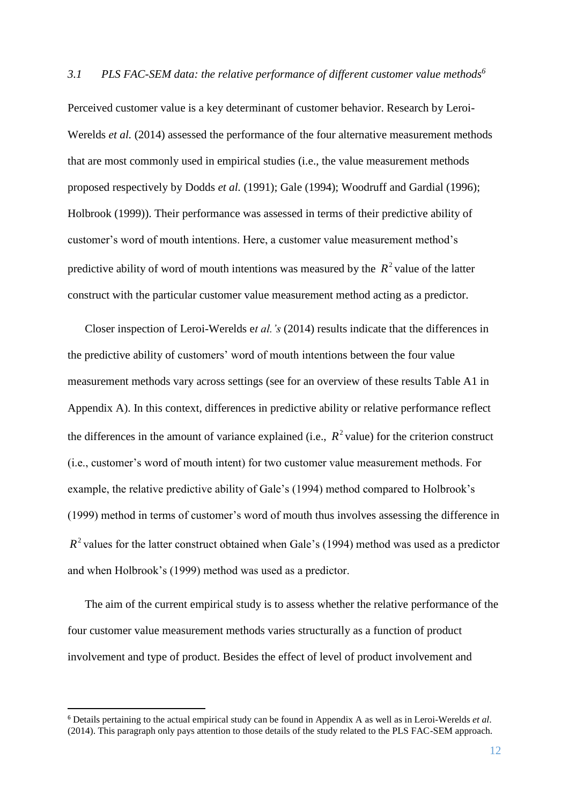Perceived customer value is a key determinant of customer behavior. Research by Leroi-Werelds *et al.* (2014) assessed the performance of the four alternative measurement methods that are most commonly used in empirical studies (i.e., the value measurement methods proposed respectively by Dodds *et al.* (1991); Gale (1994); Woodruff and Gardial (1996); Holbrook (1999)). Their performance was assessed in terms of their predictive ability of customer's word of mouth intentions. Here, a customer value measurement method's predictive ability of word of mouth intentions was measured by the  $R^2$  value of the latter construct with the particular customer value measurement method acting as a predictor.

Closer inspection of Leroi-Werelds e*t al.'s* (2014) results indicate that the differences in the predictive ability of customers' word of mouth intentions between the four value measurement methods vary across settings (see for an overview of these results Table A1 in Appendix A). In this context, differences in predictive ability or relative performance reflect the differences in the amount of variance explained (i.e.,  $R^2$  value) for the criterion construct (i.e., customer's word of mouth intent) for two customer value measurement methods. For example, the relative predictive ability of Gale's (1994) method compared to Holbrook's (1999) method in terms of customer's word of mouth thus involves assessing the difference in  $R<sup>2</sup>$  values for the latter construct obtained when Gale's (1994) method was used as a predictor and when Holbrook's (1999) method was used as a predictor.

The aim of the current empirical study is to assess whether the relative performance of the four customer value measurement methods varies structurally as a function of product involvement and type of product. Besides the effect of level of product involvement and

1

<sup>6</sup> Details pertaining to the actual empirical study can be found in Appendix A as well as in Leroi-Werelds *et al*. (2014). This paragraph only pays attention to those details of the study related to the PLS FAC-SEM approach.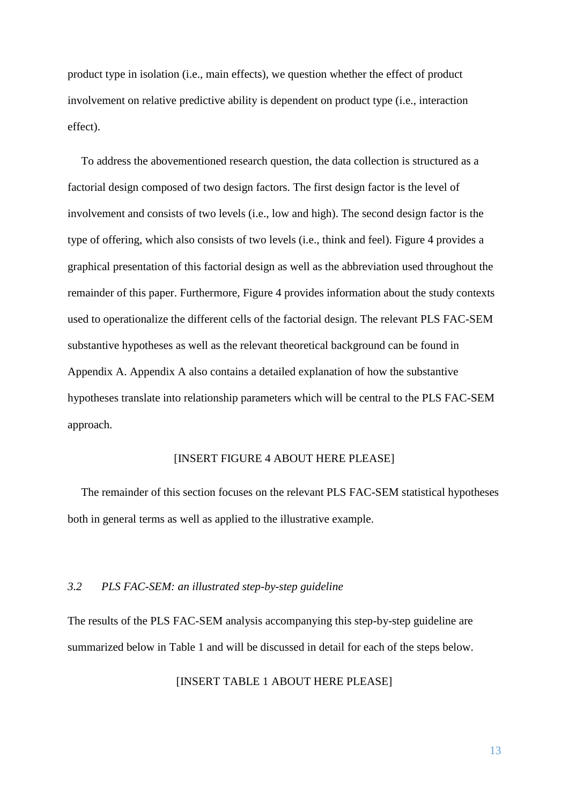product type in isolation (i.e., main effects), we question whether the effect of product involvement on relative predictive ability is dependent on product type (i.e., interaction effect).

To address the abovementioned research question, the data collection is structured as a factorial design composed of two design factors. The first design factor is the level of involvement and consists of two levels (i.e., low and high). The second design factor is the type of offering, which also consists of two levels (i.e., think and feel). Figure 4 provides a graphical presentation of this factorial design as well as the abbreviation used throughout the remainder of this paper. Furthermore, Figure 4 provides information about the study contexts used to operationalize the different cells of the factorial design. The relevant PLS FAC-SEM substantive hypotheses as well as the relevant theoretical background can be found in Appendix A. Appendix A also contains a detailed explanation of how the substantive hypotheses translate into relationship parameters which will be central to the PLS FAC-SEM approach.

#### [INSERT FIGURE 4 ABOUT HERE PLEASE]

The remainder of this section focuses on the relevant PLS FAC-SEM statistical hypotheses both in general terms as well as applied to the illustrative example.

# *3.2 PLS FAC-SEM: an illustrated step-by-step guideline*

The results of the PLS FAC-SEM analysis accompanying this step-by-step guideline are summarized below in Table 1 and will be discussed in detail for each of the steps below.

[INSERT TABLE 1 ABOUT HERE PLEASE]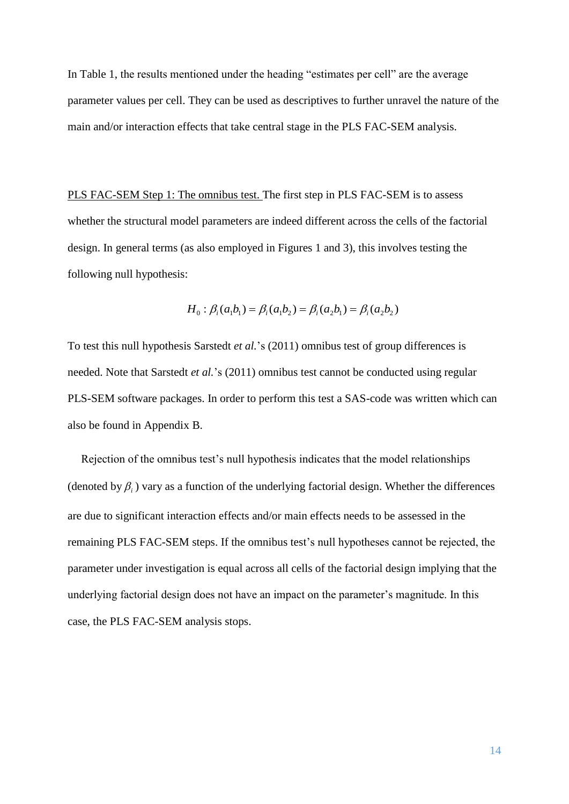In Table 1, the results mentioned under the heading "estimates per cell" are the average parameter values per cell. They can be used as descriptives to further unravel the nature of the main and/or interaction effects that take central stage in the PLS FAC-SEM analysis.

PLS FAC-SEM Step 1: The omnibus test. The first step in PLS FAC-SEM is to assess whether the structural model parameters are indeed different across the cells of the factorial design. In general terms (as also employed in Figures 1 and 3), this involves testing the following null hypothesis:

$$
H_0: \beta_i(a_1b_1) = \beta_i(a_1b_2) = \beta_i(a_2b_1) = \beta_i(a_2b_2)
$$

To test this null hypothesis Sarstedt *et al.*'s (2011) omnibus test of group differences is needed. Note that Sarstedt *et al.*'s (2011) omnibus test cannot be conducted using regular PLS-SEM software packages. In order to perform this test a SAS-code was written which can also be found in Appendix B.

Rejection of the omnibus test's null hypothesis indicates that the model relationships (denoted by  $\beta$ <sub>i</sub>) vary as a function of the underlying factorial design. Whether the differences are due to significant interaction effects and/or main effects needs to be assessed in the remaining PLS FAC-SEM steps. If the omnibus test's null hypotheses cannot be rejected, the parameter under investigation is equal across all cells of the factorial design implying that the underlying factorial design does not have an impact on the parameter's magnitude. In this case, the PLS FAC-SEM analysis stops.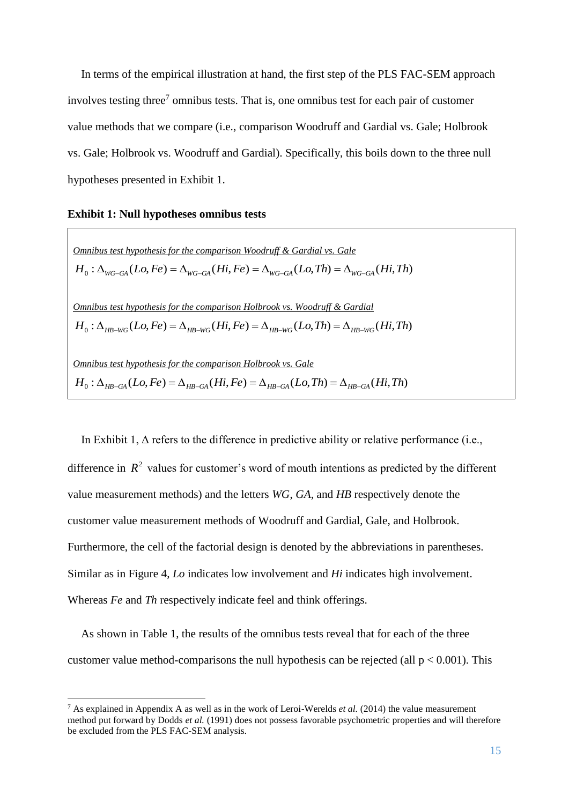In terms of the empirical illustration at hand, the first step of the PLS FAC-SEM approach involves testing three<sup>7</sup> omnibus tests. That is, one omnibus test for each pair of customer value methods that we compare (i.e., comparison Woodruff and Gardial vs. Gale; Holbrook vs. Gale; Holbrook vs. Woodruff and Gardial). Specifically, this boils down to the three null hypotheses presented in Exhibit 1.

# **Exhibit 1: Null hypotheses omnibus tests**

1

*Omnibus test hypothesis for the comparison Woodruff & Gardial vs. Gale*  $H_0: \Delta_{WG-GA}(Lo, Fe) = \Delta_{WG-GA}(Hi, Fe) = \Delta_{WG-GA}(Lo, Th) = \Delta_{WG-GA}(Hi, Th)$ *Omnibus test hypothesis for the comparison Holbrook vs. Woodruff & Gardial*  $H_0: \Delta_{HB-WG}(Lo, Fe) = \Delta_{HB-WG}(Hi, Fe) = \Delta_{HB-WG}(Lo, Th) = \Delta_{HB-WG}(Hi, Th)$ *Omnibus test hypothesis for the comparison Holbrook vs. Gale*  $H_0: \Delta_{HR-GA}(Lo, Fe) = \Delta_{HR-GA}(Hi, Fe) = \Delta_{HR-GA}(Lo, Th) = \Delta_{HR-GA}(Hi, Th)$ 

In Exhibit 1,  $\Delta$  refers to the difference in predictive ability or relative performance (i.e., difference in  $R^2$  values for customer's word of mouth intentions as predicted by the different value measurement methods) and the letters *WG*, *GA*, and *HB* respectively denote the customer value measurement methods of Woodruff and Gardial, Gale, and Holbrook. Furthermore, the cell of the factorial design is denoted by the abbreviations in parentheses. Similar as in Figure 4, *Lo* indicates low involvement and *Hi* indicates high involvement. Whereas *Fe* and *Th* respectively indicate feel and think offerings.

As shown in Table 1, the results of the omnibus tests reveal that for each of the three customer value method-comparisons the null hypothesis can be rejected (all  $p < 0.001$ ). This

<sup>7</sup> As explained in Appendix A as well as in the work of Leroi-Werelds *et al.* (2014) the value measurement method put forward by Dodds *et al.* (1991) does not possess favorable psychometric properties and will therefore be excluded from the PLS FAC-SEM analysis.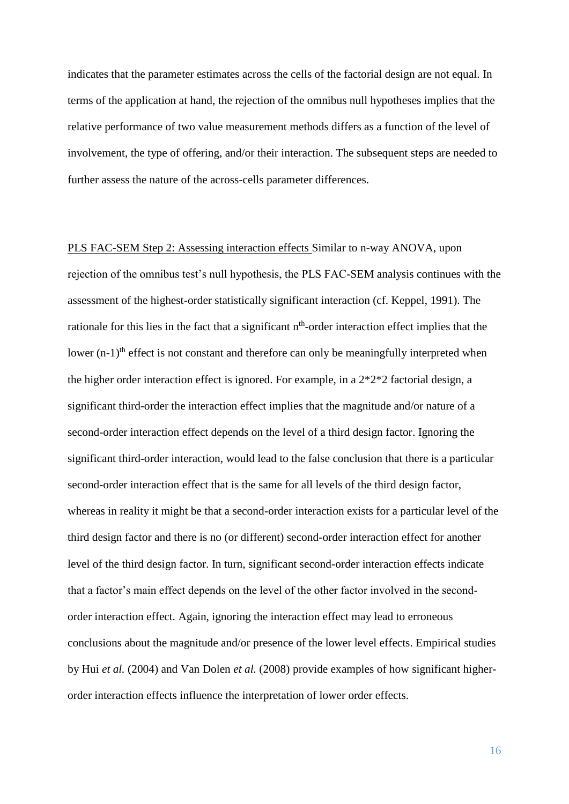indicates that the parameter estimates across the cells of the factorial design are not equal. In terms of the application at hand, the rejection of the omnibus null hypotheses implies that the relative performance of two value measurement methods differs as a function of the level of involvement, the type of offering, and/or their interaction. The subsequent steps are needed to further assess the nature of the across-cells parameter differences.

PLS FAC-SEM Step 2: Assessing interaction effects Similar to n-way ANOVA, upon rejection of the omnibus test's null hypothesis, the PLS FAC-SEM analysis continues with the assessment of the highest-order statistically significant interaction (cf. Keppel, 1991). The rationale for this lies in the fact that a significant n<sup>th</sup>-order interaction effect implies that the lower  $(n-1)$ <sup>th</sup> effect is not constant and therefore can only be meaningfully interpreted when the higher order interaction effect is ignored. For example, in a 2\*2\*2 factorial design, a significant third-order the interaction effect implies that the magnitude and/or nature of a second-order interaction effect depends on the level of a third design factor. Ignoring the significant third-order interaction, would lead to the false conclusion that there is a particular second-order interaction effect that is the same for all levels of the third design factor, whereas in reality it might be that a second-order interaction exists for a particular level of the third design factor and there is no (or different) second-order interaction effect for another level of the third design factor. In turn, significant second-order interaction effects indicate that a factor's main effect depends on the level of the other factor involved in the secondorder interaction effect. Again, ignoring the interaction effect may lead to erroneous conclusions about the magnitude and/or presence of the lower level effects. Empirical studies by Hui *et al.* (2004) and Van Dolen *et al.* (2008) provide examples of how significant higherorder interaction effects influence the interpretation of lower order effects.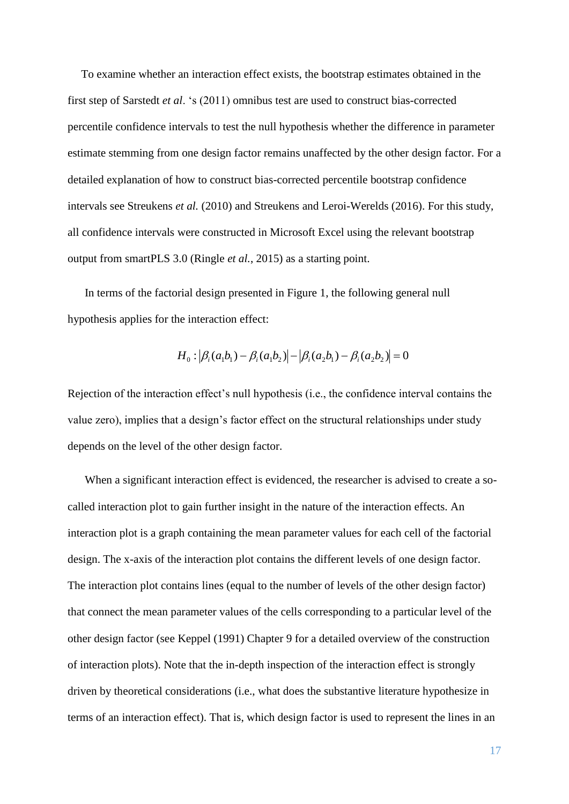To examine whether an interaction effect exists, the bootstrap estimates obtained in the first step of Sarstedt *et al*. 's (2011) omnibus test are used to construct bias-corrected percentile confidence intervals to test the null hypothesis whether the difference in parameter estimate stemming from one design factor remains unaffected by the other design factor. For a detailed explanation of how to construct bias-corrected percentile bootstrap confidence intervals see Streukens *et al.* (2010) and Streukens and Leroi-Werelds (2016). For this study, all confidence intervals were constructed in Microsoft Excel using the relevant bootstrap output from smartPLS 3.0 (Ringle *et al.*, 2015) as a starting point.

In terms of the factorial design presented in Figure 1, the following general null hypothesis applies for the interaction effect:

$$
H_0: |\beta_i(a_1b_1) - \beta_i(a_1b_2)| - |\beta_i(a_2b_1) - \beta_i(a_2b_2)| = 0
$$

Rejection of the interaction effect's null hypothesis (i.e., the confidence interval contains the value zero), implies that a design's factor effect on the structural relationships under study depends on the level of the other design factor.

When a significant interaction effect is evidenced, the researcher is advised to create a socalled interaction plot to gain further insight in the nature of the interaction effects. An interaction plot is a graph containing the mean parameter values for each cell of the factorial design. The x-axis of the interaction plot contains the different levels of one design factor. The interaction plot contains lines (equal to the number of levels of the other design factor) that connect the mean parameter values of the cells corresponding to a particular level of the other design factor (see Keppel (1991) Chapter 9 for a detailed overview of the construction of interaction plots). Note that the in-depth inspection of the interaction effect is strongly driven by theoretical considerations (i.e., what does the substantive literature hypothesize in terms of an interaction effect). That is, which design factor is used to represent the lines in an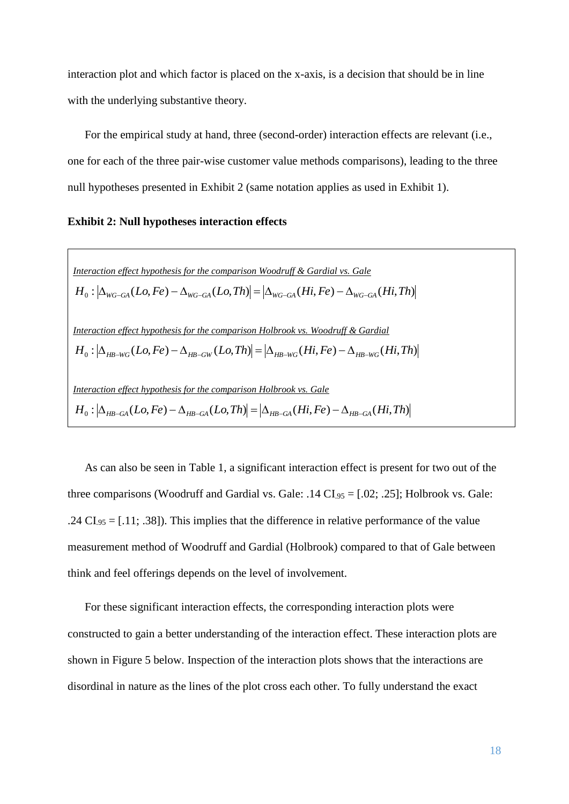interaction plot and which factor is placed on the x-axis, is a decision that should be in line with the underlying substantive theory.

For the empirical study at hand, three (second-order) interaction effects are relevant (i.e., one for each of the three pair-wise customer value methods comparisons), leading to the three null hypotheses presented in Exhibit 2 (same notation applies as used in Exhibit 1).

# **Exhibit 2: Null hypotheses interaction effects**

Interaction effect hypothesis for the comparison Woodruff & Gardial vs. Gale  
\n
$$
H_0: |\Delta_{WG-GA}(Lo, Fe) - \Delta_{WG-GA}(Lo, Th)| = |\Delta_{WG-GA}(Hi, Fe) - \Delta_{WG-GA}(Hi, Th)|
$$
\nInteraction effect hypothesis for the comparison Holbrook vs. Woodruff & Gardial  
\n
$$
H_0: |\Delta_{HB-WG}(Lo, Fe) - \Delta_{HB-GW}(Lo, Th)| = |\Delta_{HB-WG}(Hi, Fe) - \Delta_{HB-WG}(Hi, Th)|
$$
\nInteraction effect hypothesis for the comparison Holbrook vs. Gale  
\n
$$
H_0: |\Delta_{HB-GA}(Lo, Fe) - \Delta_{HB-GA}(Lo, Th)| = |\Delta_{HB-GA}(Hi, Fe) - \Delta_{HB-GA}(Hi, Th)|
$$

As can also be seen in Table 1, a significant interaction effect is present for two out of the three comparisons (Woodruff and Gardial vs. Gale: .14  $CI_{.95} = [.02; .25]$ ; Holbrook vs. Gale: .24  $CI_{.95} = [.11; .38]$ ). This implies that the difference in relative performance of the value measurement method of Woodruff and Gardial (Holbrook) compared to that of Gale between think and feel offerings depends on the level of involvement.

For these significant interaction effects, the corresponding interaction plots were constructed to gain a better understanding of the interaction effect. These interaction plots are shown in Figure 5 below. Inspection of the interaction plots shows that the interactions are disordinal in nature as the lines of the plot cross each other. To fully understand the exact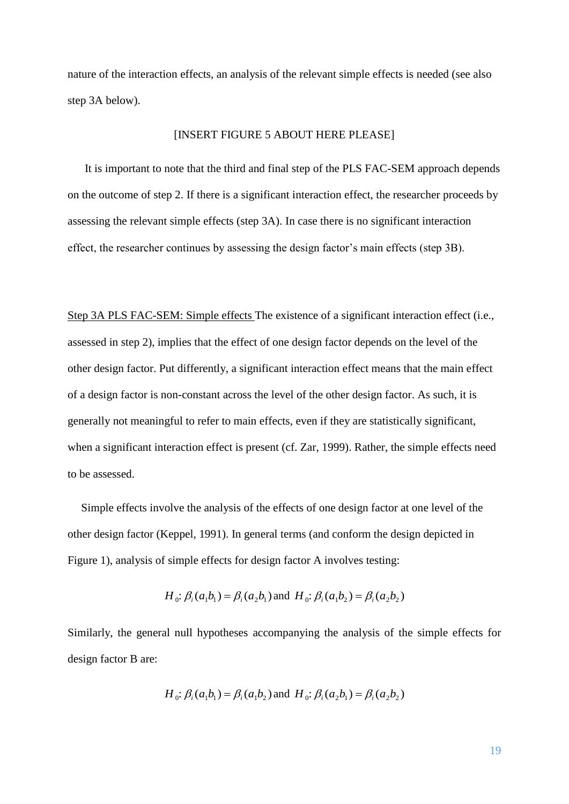nature of the interaction effects, an analysis of the relevant simple effects is needed (see also step 3A below).

#### [INSERT FIGURE 5 ABOUT HERE PLEASE]

It is important to note that the third and final step of the PLS FAC-SEM approach depends on the outcome of step 2. If there is a significant interaction effect, the researcher proceeds by assessing the relevant simple effects (step 3A). In case there is no significant interaction effect, the researcher continues by assessing the design factor's main effects (step 3B).

Step 3A PLS FAC-SEM: Simple effects The existence of a significant interaction effect (i.e., assessed in step 2), implies that the effect of one design factor depends on the level of the other design factor. Put differently, a significant interaction effect means that the main effect of a design factor is non-constant across the level of the other design factor. As such, it is generally not meaningful to refer to main effects, even if they are statistically significant, when a significant interaction effect is present (cf. Zar, 1999). Rather, the simple effects need to be assessed.

Simple effects involve the analysis of the effects of one design factor at one level of the other design factor (Keppel, 1991). In general terms (and conform the design depicted in Figure 1), analysis of simple effects for design factor A involves testing:

$$
H_0
$$
:  $\beta_i(a_1b_1) = \beta_i(a_2b_1)$  and  $H_0$ :  $\beta_i(a_1b_2) = \beta_i(a_2b_2)$ 

Similarly, the general null hypotheses accompanying the analysis of the simple effects for design factor B are:

$$
H_0
$$
:  $\beta_i(a_1b_1) = \beta_i(a_1b_2)$  and  $H_0$ :  $\beta_i(a_2b_1) = \beta_i(a_2b_2)$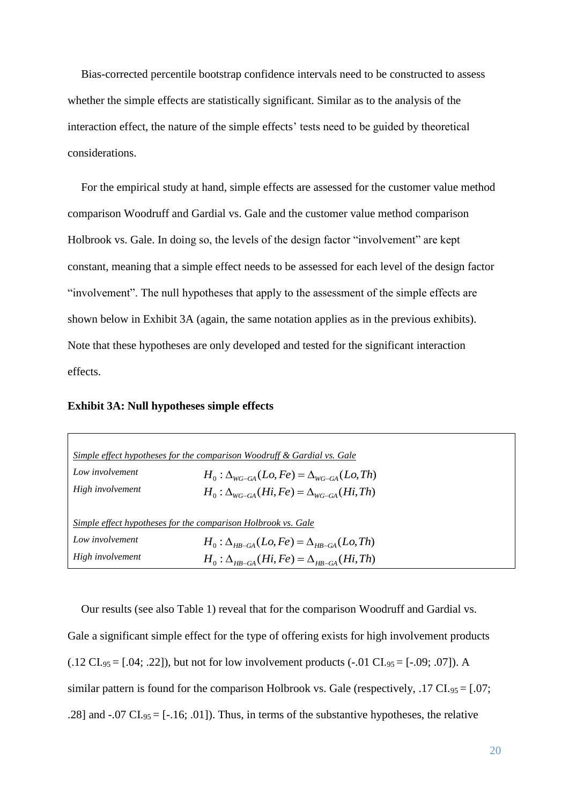Bias-corrected percentile bootstrap confidence intervals need to be constructed to assess whether the simple effects are statistically significant. Similar as to the analysis of the interaction effect, the nature of the simple effects' tests need to be guided by theoretical considerations.

For the empirical study at hand, simple effects are assessed for the customer value method comparison Woodruff and Gardial vs. Gale and the customer value method comparison Holbrook vs. Gale. In doing so, the levels of the design factor "involvement" are kept constant, meaning that a simple effect needs to be assessed for each level of the design factor "involvement". The null hypotheses that apply to the assessment of the simple effects are shown below in Exhibit 3A (again, the same notation applies as in the previous exhibits). Note that these hypotheses are only developed and tested for the significant interaction effects.

#### **Exhibit 3A: Null hypotheses simple effects**

| Simple effect hypotheses for the comparison Woodruff & Gardial vs. Gale |                                                                      |  |  |  |  |  |
|-------------------------------------------------------------------------|----------------------------------------------------------------------|--|--|--|--|--|
| Low involvement                                                         | $H_0: \Delta_{\text{WC-GA}}(Lo, Fe) = \Delta_{\text{WC-GA}}(Lo, Th)$ |  |  |  |  |  |
| High involvement                                                        | $H_0: \Delta_{WC-GA}(Hi, Fe) = \Delta_{WC-GA}(Hi, Th)$               |  |  |  |  |  |
|                                                                         |                                                                      |  |  |  |  |  |
| Simple effect hypotheses for the comparison Holbrook vs. Gale           |                                                                      |  |  |  |  |  |
| Low involvement                                                         | $H_0: \Delta_{HR-GA}(Lo, Fe) = \Delta_{HR-GA}(Lo, Th)$               |  |  |  |  |  |
| High involvement                                                        | $H_0: \Delta_{HR-GA}(Hi, Fe) = \Delta_{HR-GA}(Hi, Th)$               |  |  |  |  |  |

Our results (see also Table 1) reveal that for the comparison Woodruff and Gardial vs. Gale a significant simple effect for the type of offering exists for high involvement products  $(0.12 \text{ CI}_{.95} = [0.04; 0.22])$ , but not for low involvement products  $(-0.01 \text{ CI}_{.95} = [-0.09; 0.07])$ . A similar pattern is found for the comparison Holbrook vs. Gale (respectively, .17 CI.  $95 = 0.07$ ; .28] and  $-.07 \text{ CI}_{.95} = [-16; .01]$ . Thus, in terms of the substantive hypotheses, the relative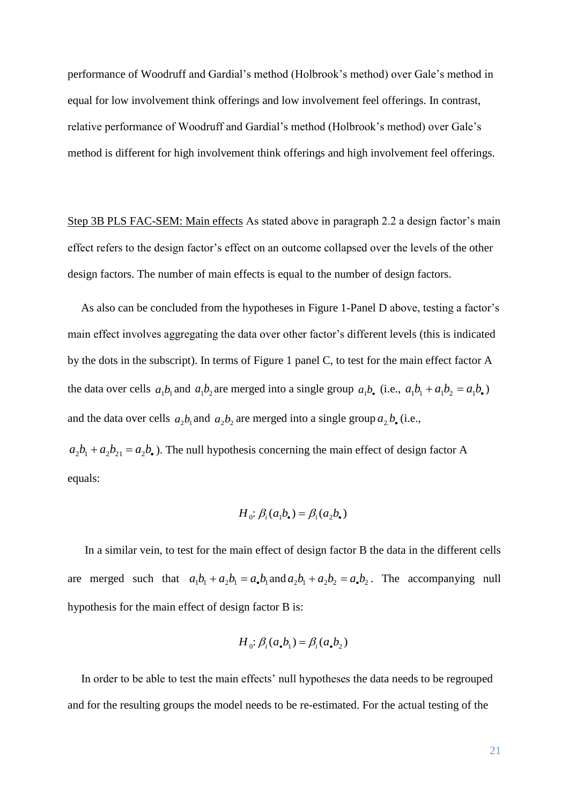performance of Woodruff and Gardial's method (Holbrook's method) over Gale's method in equal for low involvement think offerings and low involvement feel offerings. In contrast, relative performance of Woodruff and Gardial's method (Holbrook's method) over Gale's method is different for high involvement think offerings and high involvement feel offerings.

Step 3B PLS FAC-SEM: Main effects As stated above in paragraph 2.2 a design factor's main effect refers to the design factor's effect on an outcome collapsed over the levels of the other design factors. The number of main effects is equal to the number of design factors.

As also can be concluded from the hypotheses in Figure 1-Panel D above, testing a factor's main effect involves aggregating the data over other factor's different levels (this is indicated by the dots in the subscript). In terms of Figure 1 panel C, to test for the main effect factor A the data over cells  $a_1b_1$  and  $a_1b_2$  are merged into a single group  $a_1b_2$  (i.e.,  $a_1b_1 + a_1b_2 = a_1b_2$ ) and the data over cells  $a_2b_1$  and  $a_2b_2$  are merged into a single group  $a_2b_2$  (i.e.,

 $a_2b_1 + a_2b_2 = a_2b_2$ . The null hypothesis concerning the main effect of design factor A equals:

$$
H_0: \beta_i(a_1b_{\bullet}) = \beta_i(a_2b_{\bullet})
$$

In a similar vein, to test for the main effect of design factor B the data in the different cells are merged such that  $a_1b_1 + a_2b_1 = a_1b_1$  and  $a_2b_1 + a_2b_2 = a_1b_2$ . The accompanying null hypothesis for the main effect of design factor B is:

$$
H_0: \beta_i(a_{\bullet}b_1) = \beta_i(a_{\bullet}b_2)
$$

In order to be able to test the main effects' null hypotheses the data needs to be regrouped and for the resulting groups the model needs to be re-estimated. For the actual testing of the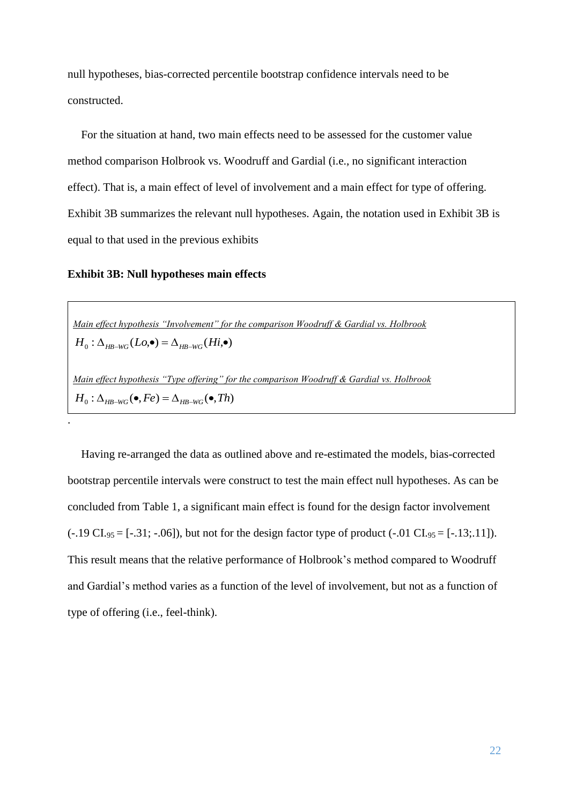null hypotheses, bias-corrected percentile bootstrap confidence intervals need to be constructed.

For the situation at hand, two main effects need to be assessed for the customer value method comparison Holbrook vs. Woodruff and Gardial (i.e., no significant interaction effect). That is, a main effect of level of involvement and a main effect for type of offering. Exhibit 3B summarizes the relevant null hypotheses. Again, the notation used in Exhibit 3B is equal to that used in the previous exhibits

# **Exhibit 3B: Null hypotheses main effects**

.

*Main effect hypothesis "Involvement" for the comparison Woodruff & Gardial vs. Holbrook*  $H_0: \Delta_{HB-WG}(Lo, \bullet) = \Delta_{HB-WG}(Hi, \bullet)$ *Main effect hypothesis "Type offering" for the comparison Woodruff & Gardial vs. Holbrook*  $H_0: \Delta_{HB-WG}(\bullet, Fe) = \Delta_{HB-WG}(\bullet, Th)$ 

Having re-arranged the data as outlined above and re-estimated the models, bias-corrected bootstrap percentile intervals were construct to test the main effect null hypotheses. As can be concluded from Table 1, a significant main effect is found for the design factor involvement  $(-.19 \text{ CI}_{.95} = [-.31; -.06])$ , but not for the design factor type of product  $(-.01 \text{ CI}_{.95} = [-.13; .11])$ . This result means that the relative performance of Holbrook's method compared to Woodruff and Gardial's method varies as a function of the level of involvement, but not as a function of type of offering (i.e., feel-think).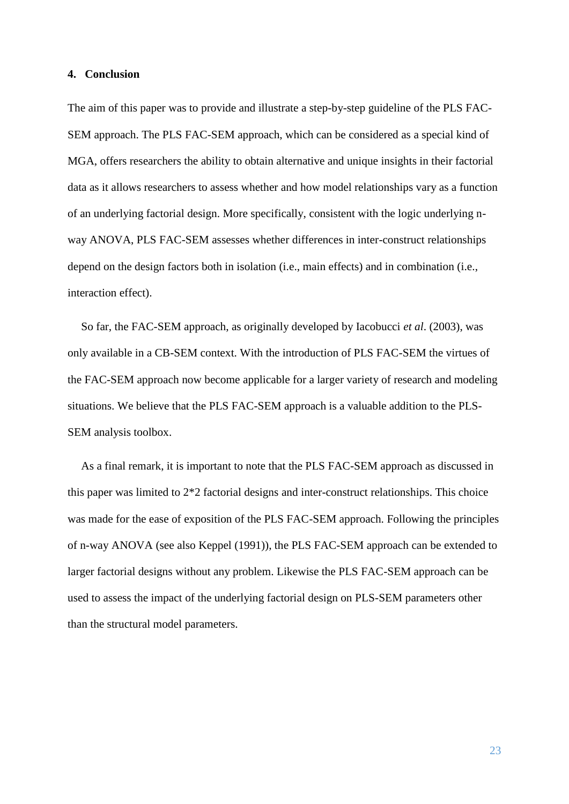#### **4. Conclusion**

The aim of this paper was to provide and illustrate a step-by-step guideline of the PLS FAC-SEM approach. The PLS FAC-SEM approach, which can be considered as a special kind of MGA, offers researchers the ability to obtain alternative and unique insights in their factorial data as it allows researchers to assess whether and how model relationships vary as a function of an underlying factorial design. More specifically, consistent with the logic underlying nway ANOVA, PLS FAC-SEM assesses whether differences in inter-construct relationships depend on the design factors both in isolation (i.e., main effects) and in combination (i.e., interaction effect).

So far, the FAC-SEM approach, as originally developed by Iacobucci *et al*. (2003), was only available in a CB-SEM context. With the introduction of PLS FAC-SEM the virtues of the FAC-SEM approach now become applicable for a larger variety of research and modeling situations. We believe that the PLS FAC-SEM approach is a valuable addition to the PLS-SEM analysis toolbox.

As a final remark, it is important to note that the PLS FAC-SEM approach as discussed in this paper was limited to 2\*2 factorial designs and inter-construct relationships. This choice was made for the ease of exposition of the PLS FAC-SEM approach. Following the principles of n-way ANOVA (see also Keppel (1991)), the PLS FAC-SEM approach can be extended to larger factorial designs without any problem. Likewise the PLS FAC-SEM approach can be used to assess the impact of the underlying factorial design on PLS-SEM parameters other than the structural model parameters.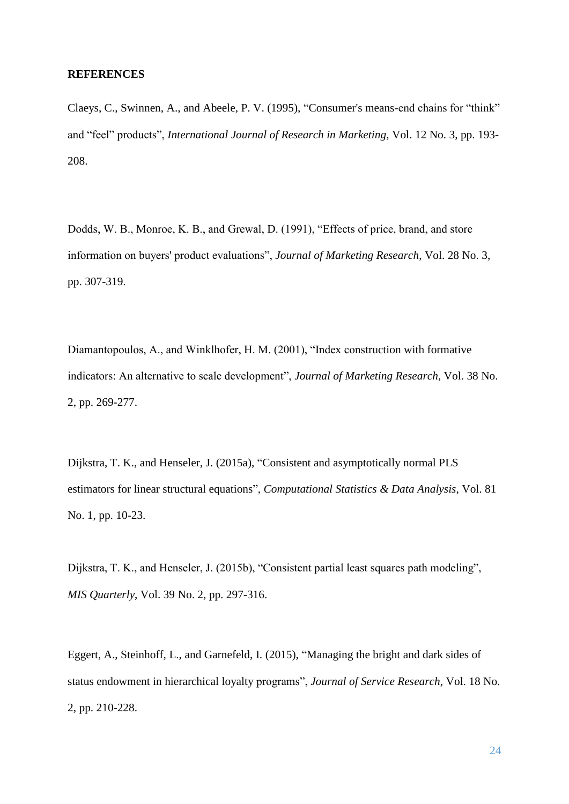# **REFERENCES**

Claeys, C., Swinnen, A., and Abeele, P. V. (1995), "Consumer's means-end chains for "think" and "feel" products", *International Journal of Research in Marketing*, Vol. 12 No. 3, pp. 193- 208.

Dodds, W. B., Monroe, K. B., and Grewal, D. (1991), "Effects of price, brand, and store information on buyers' product evaluations", *Journal of Marketing Research*, Vol. 28 No. 3, pp. 307-319.

Diamantopoulos, A., and Winklhofer, H. M. (2001), "Index construction with formative indicators: An alternative to scale development", *Journal of Marketing Research*, Vol. 38 No. 2, pp. 269-277.

Dijkstra, T. K., and Henseler, J. (2015a), "Consistent and asymptotically normal PLS estimators for linear structural equations", *Computational Statistics & Data Analysis*, Vol. 81 No. 1, pp. 10-23.

Dijkstra, T. K., and Henseler, J. (2015b), "Consistent partial least squares path modeling", *MIS Quarterly*, Vol. 39 No. 2, pp. 297-316.

Eggert, A., Steinhoff, L., and Garnefeld, I. (2015), "Managing the bright and dark sides of status endowment in hierarchical loyalty programs", *Journal of Service Research*, Vol. 18 No. 2, pp. 210-228.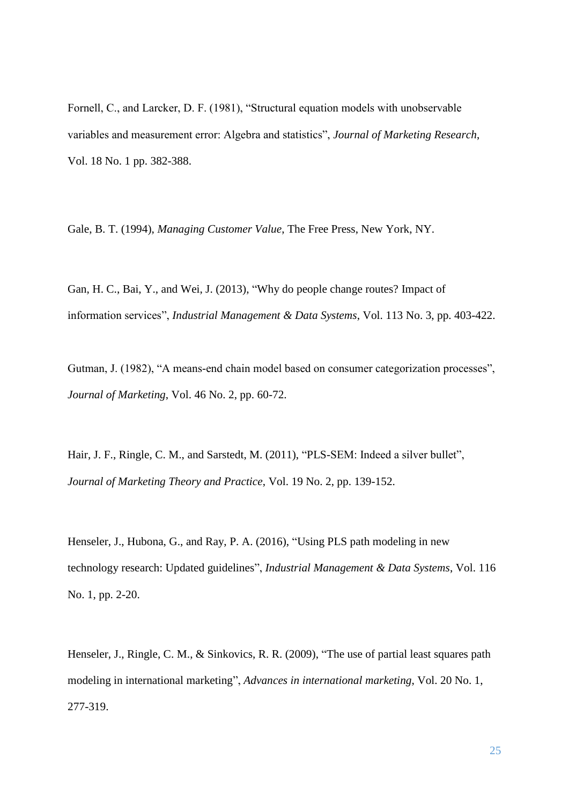Fornell, C., and Larcker, D. F. (1981), "Structural equation models with unobservable variables and measurement error: Algebra and statistics", *Journal of Marketing Research*, Vol. 18 No. 1 pp. 382-388.

Gale, B. T. (1994), *Managing Customer Value*, The Free Press, New York, NY.

Gan, H. C., Bai, Y., and Wei, J. (2013), "Why do people change routes? Impact of information services", *Industrial Management & Data Systems*, Vol. 113 No. 3, pp. 403-422.

Gutman, J. (1982), "A means-end chain model based on consumer categorization processes", *Journal of Marketing*, Vol. 46 No. 2, pp. 60-72.

Hair, J. F., Ringle, C. M., and Sarstedt, M. (2011), "PLS-SEM: Indeed a silver bullet", *Journal of Marketing Theory and Practice*, Vol. 19 No. 2, pp. 139-152.

Henseler, J., Hubona, G., and Ray, P. A. (2016), "Using PLS path modeling in new technology research: Updated guidelines", *Industrial Management & Data Systems*, Vol. 116 No. 1, pp. 2-20.

Henseler, J., Ringle, C. M., & Sinkovics, R. R. (2009), "The use of partial least squares path modeling in international marketing", *Advances in international marketing*, Vol. 20 No. 1, 277-319.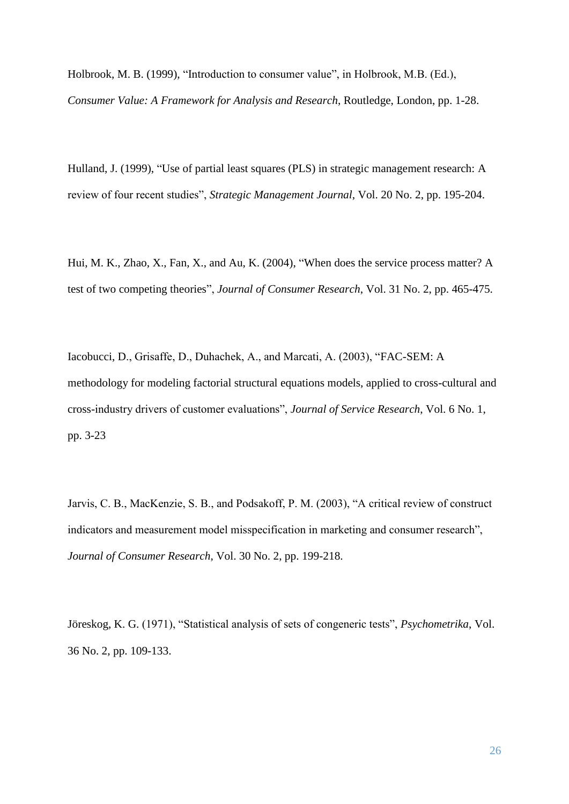Holbrook, M. B. (1999), "Introduction to consumer value", in Holbrook, M.B. (Ed.), *Consumer Value: A Framework for Analysis and Research*, Routledge, London, pp. 1-28.

Hulland, J. (1999), "Use of partial least squares (PLS) in strategic management research: A review of four recent studies", *Strategic Management Journal*, Vol. 20 No. 2, pp. 195-204.

Hui, M. K., Zhao, X., Fan, X., and Au, K. (2004), "When does the service process matter? A test of two competing theories", *Journal of Consumer Research*, Vol. 31 No. 2, pp. 465-475.

Iacobucci, D., Grisaffe, D., Duhachek, A., and Marcati, A. (2003), "FAC-SEM: A methodology for modeling factorial structural equations models, applied to cross-cultural and cross-industry drivers of customer evaluations", *Journal of Service Research*, Vol. 6 No. 1, pp. 3-23

Jarvis, C. B., MacKenzie, S. B., and Podsakoff, P. M. (2003), "A critical review of construct indicators and measurement model misspecification in marketing and consumer research", *Journal of Consumer Research*, Vol. 30 No. 2, pp. 199-218.

Jöreskog, K. G. (1971), "Statistical analysis of sets of congeneric tests", *Psychometrika*, Vol. 36 No. 2, pp. 109-133.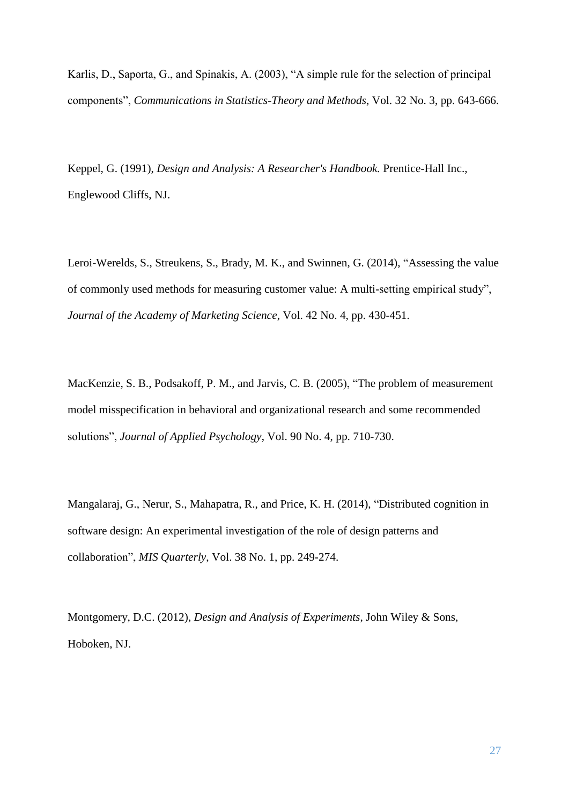Karlis, D., Saporta, G., and Spinakis, A. (2003), "A simple rule for the selection of principal components", *Communications in Statistics-Theory and Methods*, Vol. 32 No. 3, pp. 643-666.

Keppel, G. (1991), *Design and Analysis: A Researcher's Handbook.* Prentice-Hall Inc., Englewood Cliffs, NJ.

Leroi-Werelds, S., Streukens, S., Brady, M. K., and Swinnen, G. (2014), "Assessing the value of commonly used methods for measuring customer value: A multi-setting empirical study", *Journal of the Academy of Marketing Science*, Vol. 42 No. 4, pp. 430-451.

MacKenzie, S. B., Podsakoff, P. M., and Jarvis, C. B. (2005), "The problem of measurement model misspecification in behavioral and organizational research and some recommended solutions", *Journal of Applied Psychology*, Vol. 90 No. 4, pp. 710-730.

Mangalaraj, G., Nerur, S., Mahapatra, R., and Price, K. H. (2014), "Distributed cognition in software design: An experimental investigation of the role of design patterns and collaboration", *MIS Quarterly*, Vol. 38 No. 1, pp. 249-274.

Montgomery, D.C. (2012), *Design and Analysis of Experiments*, John Wiley & Sons, Hoboken, NJ.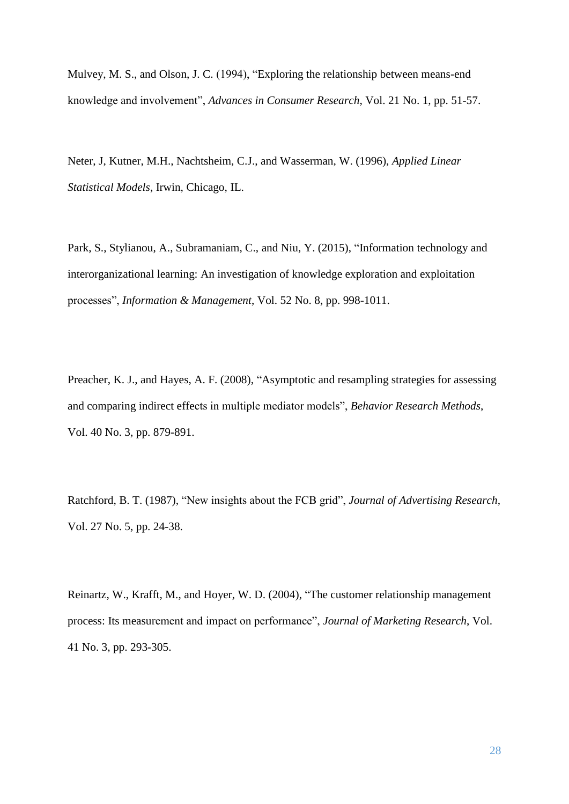Mulvey, M. S., and Olson, J. C. (1994), "Exploring the relationship between means-end knowledge and involvement", *Advances in Consumer Research*, Vol. 21 No. 1, pp. 51-57.

Neter, J, Kutner, M.H., Nachtsheim, C.J., and Wasserman, W. (1996), *Applied Linear Statistical Models*, Irwin, Chicago, IL.

Park, S., Stylianou, A., Subramaniam, C., and Niu, Y. (2015), "Information technology and interorganizational learning: An investigation of knowledge exploration and exploitation processes", *Information & Management*, Vol. 52 No. 8, pp. 998-1011.

Preacher, K. J., and Hayes, A. F. (2008), "Asymptotic and resampling strategies for assessing and comparing indirect effects in multiple mediator models", *Behavior Research Methods*, Vol. 40 No. 3, pp. 879-891.

Ratchford, B. T. (1987), "New insights about the FCB grid", *Journal of Advertising Research*, Vol. 27 No. 5, pp. 24-38.

Reinartz, W., Krafft, M., and Hoyer, W. D. (2004), "The customer relationship management process: Its measurement and impact on performance", *Journal of Marketing Research*, Vol. 41 No. 3, pp. 293-305.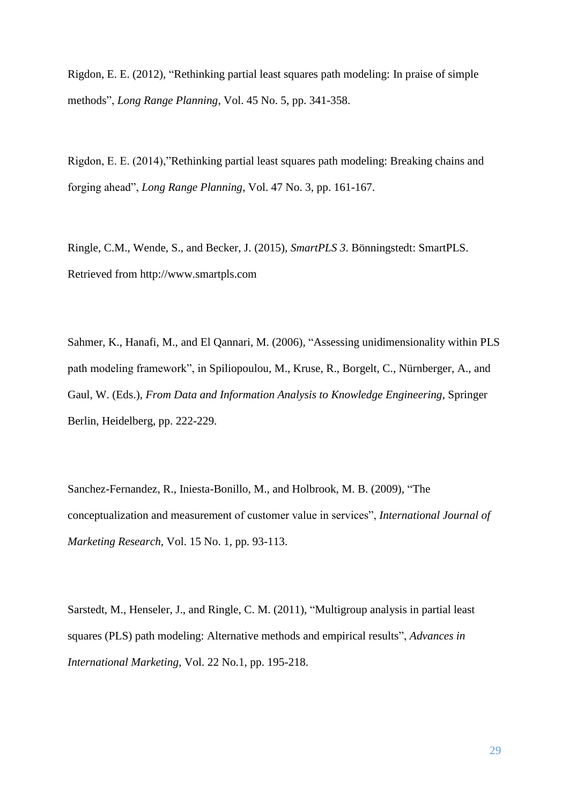Rigdon, E. E. (2012), "Rethinking partial least squares path modeling: In praise of simple methods", *Long Range Planning*, Vol. 45 No. 5, pp. 341-358.

Rigdon, E. E. (2014),"Rethinking partial least squares path modeling: Breaking chains and forging ahead", *Long Range Planning*, Vol. 47 No. 3, pp. 161-167.

Ringle, C.M., Wende, S., and Becker, J. (2015), *SmartPLS 3*. Bönningstedt: SmartPLS. Retrieved from http://www.smartpls.com

Sahmer, K., Hanafi, M., and El Qannari, M. (2006), "Assessing unidimensionality within PLS path modeling framework", in Spiliopoulou, M., Kruse, R., Borgelt, C., Nürnberger, A., and Gaul, W. (Eds.), *From Data and Information Analysis to Knowledge Engineering*, Springer Berlin, Heidelberg, pp. 222-229.

Sanchez-Fernandez, R., Iniesta-Bonillo, M., and Holbrook, M. B. (2009), "The conceptualization and measurement of customer value in services", *International Journal of Marketing Research*, Vol. 15 No. 1, pp. 93-113.

Sarstedt, M., Henseler, J., and Ringle, C. M. (2011), "Multigroup analysis in partial least squares (PLS) path modeling: Alternative methods and empirical results", *Advances in International Marketing*, Vol. 22 No.1, pp. 195-218.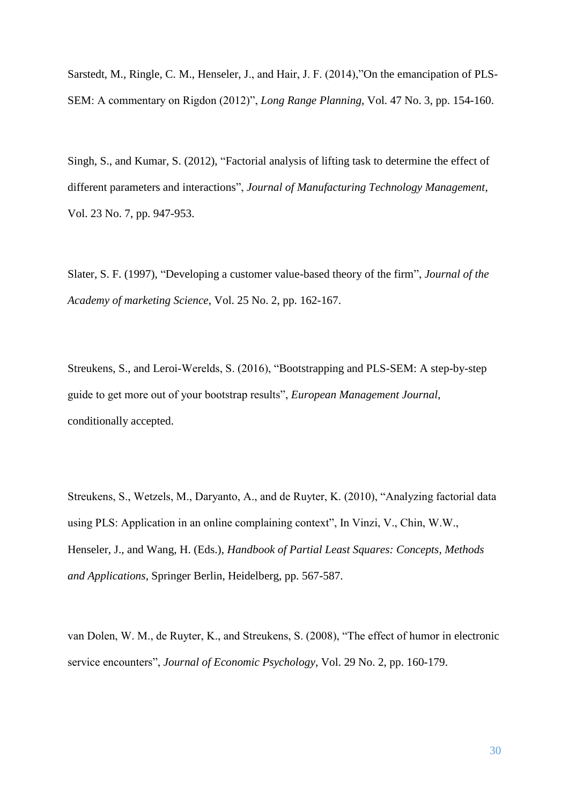Sarstedt, M., Ringle, C. M., Henseler, J., and Hair, J. F. (2014),"On the emancipation of PLS-SEM: A commentary on Rigdon (2012)", *Long Range Planning*, Vol. 47 No. 3, pp. 154-160.

Singh, S., and Kumar, S. (2012), "Factorial analysis of lifting task to determine the effect of different parameters and interactions", *Journal of Manufacturing Technology Management*, Vol. 23 No. 7, pp. 947-953.

Slater, S. F. (1997), "Developing a customer value-based theory of the firm", *Journal of the Academy of marketing Science*, Vol. 25 No. 2, pp. 162-167.

Streukens, S., and Leroi-Werelds, S. (2016), "Bootstrapping and PLS-SEM: A step-by-step guide to get more out of your bootstrap results", *European Management Journal*, conditionally accepted.

Streukens, S., Wetzels, M., Daryanto, A., and de Ruyter, K. (2010), "Analyzing factorial data using PLS: Application in an online complaining context", In Vinzi, V., Chin, W.W., Henseler, J., and Wang, H. (Eds.), *Handbook of Partial Least Squares: Concepts, Methods and Applications*, Springer Berlin, Heidelberg, pp. 567-587.

van Dolen, W. M., de Ruyter, K., and Streukens, S. (2008), "The effect of humor in electronic service encounters", *Journal of Economic Psychology*, Vol. 29 No. 2, pp. 160-179.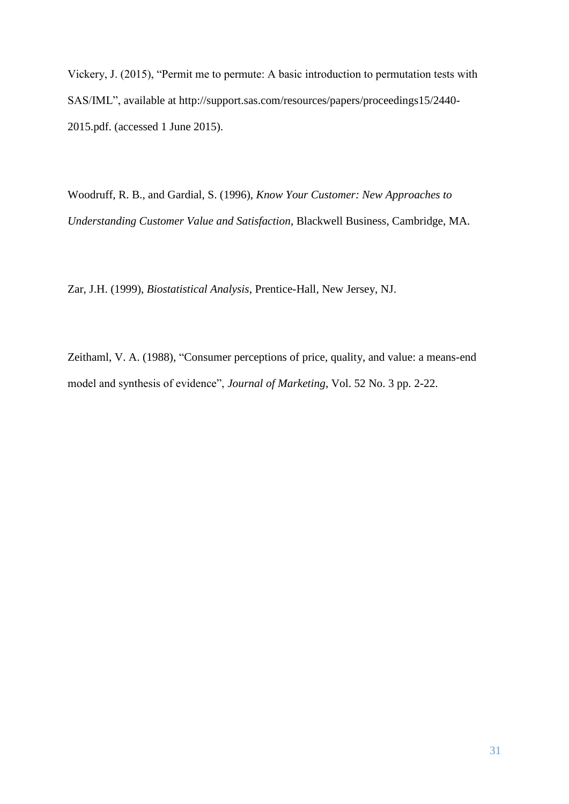Vickery, J. (2015), "Permit me to permute: A basic introduction to permutation tests with SAS/IML", available at http://support.sas.com/resources/papers/proceedings15/2440- 2015.pdf. (accessed 1 June 2015).

Woodruff, R. B., and Gardial, S. (1996), *Know Your Customer: New Approaches to Understanding Customer Value and Satisfaction*, Blackwell Business, Cambridge, MA.

Zar, J.H. (1999), *Biostatistical Analysis*, Prentice-Hall*,* New Jersey, NJ.

Zeithaml, V. A. (1988), "Consumer perceptions of price, quality, and value: a means-end model and synthesis of evidence", *Journal of Marketing*, Vol. 52 No. 3 pp. 2-22.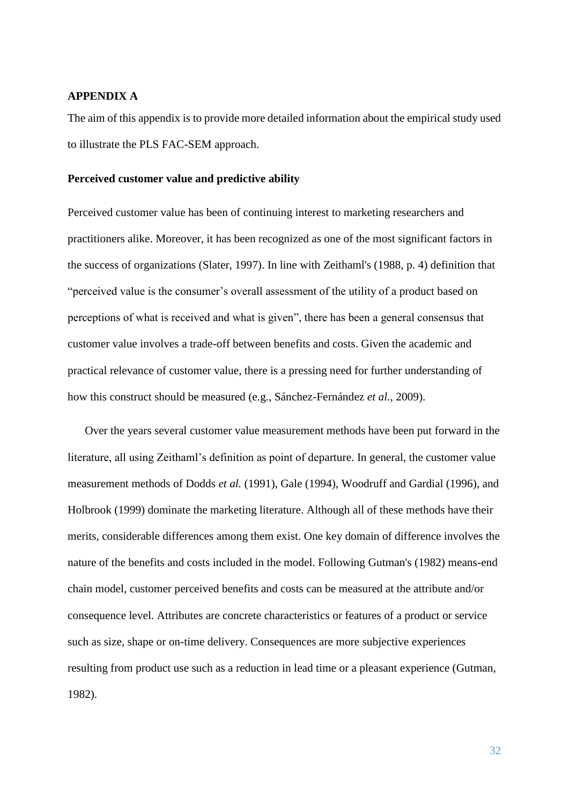# **APPENDIX A**

The aim of this appendix is to provide more detailed information about the empirical study used to illustrate the PLS FAC-SEM approach.

#### **Perceived customer value and predictive ability**

Perceived customer value has been of continuing interest to marketing researchers and practitioners alike. Moreover, it has been recognized as one of the most significant factors in the success of organizations (Slater, 1997). In line with Zeithaml's (1988, p. 4) definition that "perceived value is the consumer's overall assessment of the utility of a product based on perceptions of what is received and what is given", there has been a general consensus that customer value involves a trade-off between benefits and costs. Given the academic and practical relevance of customer value, there is a pressing need for further understanding of how this construct should be measured (e.g., Sánchez-Fernández *et al.*, 2009).

Over the years several customer value measurement methods have been put forward in the literature, all using Zeithaml's definition as point of departure. In general, the customer value measurement methods of Dodds *et al.* (1991), Gale (1994), Woodruff and Gardial (1996), and Holbrook (1999) dominate the marketing literature. Although all of these methods have their merits, considerable differences among them exist. One key domain of difference involves the nature of the benefits and costs included in the model. Following Gutman's (1982) means-end chain model, customer perceived benefits and costs can be measured at the attribute and/or consequence level. Attributes are concrete characteristics or features of a product or service such as size, shape or on-time delivery. Consequences are more subjective experiences resulting from product use such as a reduction in lead time or a pleasant experience (Gutman, 1982).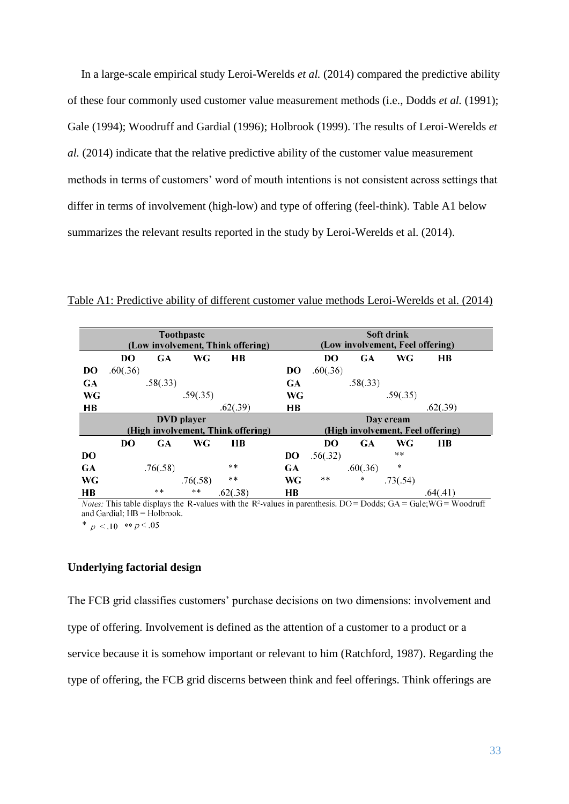In a large-scale empirical study Leroi-Werelds *et al.* (2014) compared the predictive ability of these four commonly used customer value measurement methods (i.e., Dodds *et al.* (1991); Gale (1994); Woodruff and Gardial (1996); Holbrook (1999). The results of Leroi-Werelds *et al.* (2014) indicate that the relative predictive ability of the customer value measurement methods in terms of customers' word of mouth intentions is not consistent across settings that differ in terms of involvement (high-low) and type of offering (feel-think). Table A1 below summarizes the relevant results reported in the study by Leroi-Werelds et al. (2014).

Table A1: Predictive ability of different customer value methods Leroi-Werelds et al. (2014)

| <b>Toothpaste</b> |                                    |           |          |          |           | Soft drink                        |                |            |            |          |  |
|-------------------|------------------------------------|-----------|----------|----------|-----------|-----------------------------------|----------------|------------|------------|----------|--|
|                   | (Low involvement, Think offering)  |           |          |          |           | (Low involvement, Feel offering)  |                |            |            |          |  |
|                   |                                    |           |          |          |           |                                   |                |            |            |          |  |
|                   | DO                                 | <b>GA</b> | WG       | HB       |           |                                   | D <sub>O</sub> | GA         | WG         | HB       |  |
| <b>DO</b>         | .60(.36)                           |           |          |          | DO        |                                   | .60(.36)       |            |            |          |  |
| GA                |                                    | .58(.33)  |          |          | <b>GA</b> |                                   |                | .58(.33)   |            |          |  |
| WG                |                                    |           | .59(.35) |          |           | WG                                |                |            | .59(.35)   |          |  |
| HВ                |                                    |           |          | .62(.39) | HВ        |                                   |                |            |            | .62(.39) |  |
| <b>DVD</b> player |                                    |           |          |          |           |                                   |                |            | Day cream  |          |  |
|                   | (High involvement, Think offering) |           |          |          |           | (High involvement, Feel offering) |                |            |            |          |  |
|                   | DO                                 | <b>GA</b> | WG       | HB       |           |                                   | DO             | GA         | <b>WG</b>  | HВ       |  |
| DO                |                                    |           |          |          | <b>DO</b> |                                   | .56(.32)       |            | $+ +$      |          |  |
| GA                |                                    | .76(.58)  |          | $+ +$    | <b>GA</b> |                                   |                | .60(.36)   | $\ddagger$ |          |  |
| WG                |                                    |           | .76(.58) | $***$    | WG        |                                   | $* *$          | $\ddagger$ | .73(.54)   |          |  |
| <b>HB</b>         |                                    | $***$     | **       | .62(.38) | HВ        |                                   |                |            |            | .64(.41) |  |

*Notes:* This table displays the R-values with the R<sup>2</sup>-values in parenthesis. DO = Dodds; GA = Gale;  $\overline{WG}$  = Woodruff and Gardial; HB = Holbrook.

\*  $p < 10$  \*\*  $p < 0.05$ 

# **Underlying factorial design**

The FCB grid classifies customers' purchase decisions on two dimensions: involvement and type of offering. Involvement is defined as the attention of a customer to a product or a service because it is somehow important or relevant to him (Ratchford, 1987). Regarding the type of offering, the FCB grid discerns between think and feel offerings. Think offerings are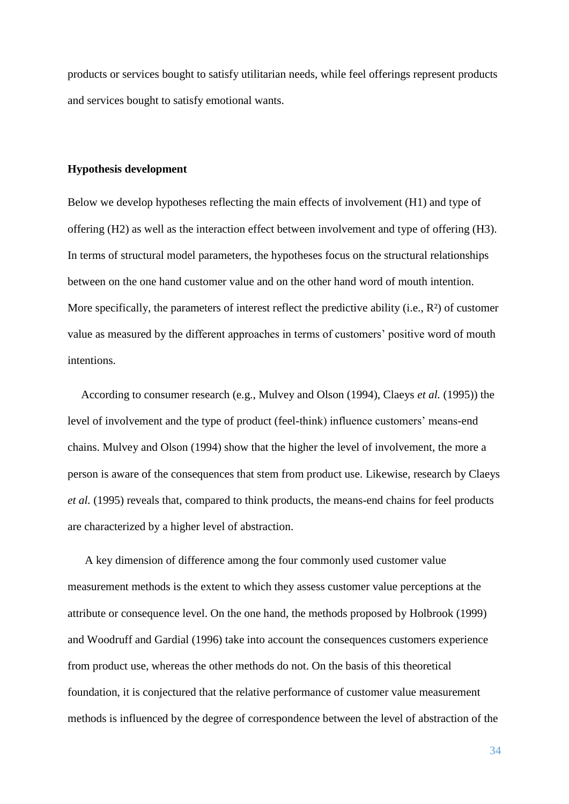products or services bought to satisfy utilitarian needs, while feel offerings represent products and services bought to satisfy emotional wants.

# **Hypothesis development**

Below we develop hypotheses reflecting the main effects of involvement (H1) and type of offering (H2) as well as the interaction effect between involvement and type of offering (H3). In terms of structural model parameters, the hypotheses focus on the structural relationships between on the one hand customer value and on the other hand word of mouth intention. More specifically, the parameters of interest reflect the predictive ability (i.e.,  $\mathbb{R}^2$ ) of customer value as measured by the different approaches in terms of customers' positive word of mouth intentions.

According to consumer research (e.g., Mulvey and Olson (1994), Claeys *et al.* (1995)) the level of involvement and the type of product (feel-think) influence customers' means-end chains. Mulvey and Olson (1994) show that the higher the level of involvement, the more a person is aware of the consequences that stem from product use. Likewise, research by Claeys *et al.* (1995) reveals that, compared to think products, the means-end chains for feel products are characterized by a higher level of abstraction.

A key dimension of difference among the four commonly used customer value measurement methods is the extent to which they assess customer value perceptions at the attribute or consequence level. On the one hand, the methods proposed by Holbrook (1999) and Woodruff and Gardial (1996) take into account the consequences customers experience from product use, whereas the other methods do not. On the basis of this theoretical foundation, it is conjectured that the relative performance of customer value measurement methods is influenced by the degree of correspondence between the level of abstraction of the

34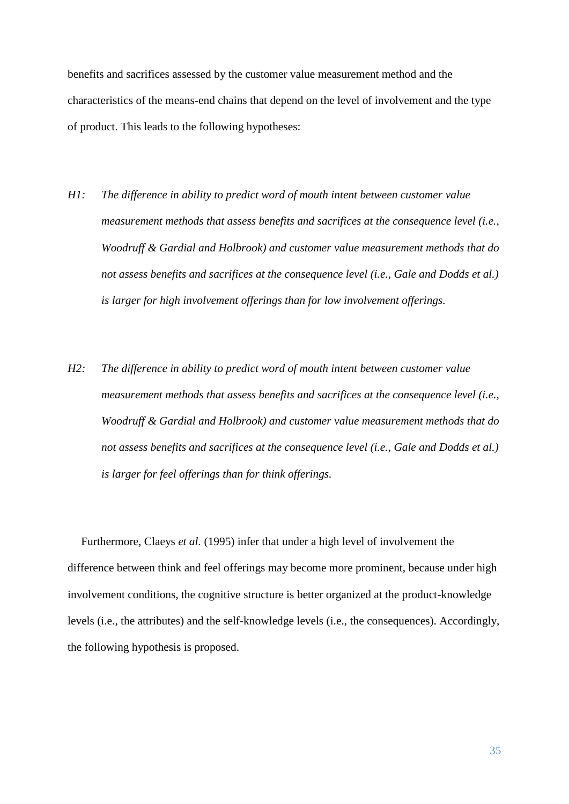benefits and sacrifices assessed by the customer value measurement method and the characteristics of the means-end chains that depend on the level of involvement and the type of product. This leads to the following hypotheses:

- *H1: The difference in ability to predict word of mouth intent between customer value measurement methods that assess benefits and sacrifices at the consequence level (i.e., Woodruff & Gardial and Holbrook) and customer value measurement methods that do not assess benefits and sacrifices at the consequence level (i.e., Gale and Dodds et al.) is larger for high involvement offerings than for low involvement offerings.*
- *H2: The difference in ability to predict word of mouth intent between customer value measurement methods that assess benefits and sacrifices at the consequence level (i.e., Woodruff & Gardial and Holbrook) and customer value measurement methods that do not assess benefits and sacrifices at the consequence level (i.e., Gale and Dodds et al.) is larger for feel offerings than for think offerings.*

Furthermore, Claeys *et al.* (1995) infer that under a high level of involvement the difference between think and feel offerings may become more prominent, because under high involvement conditions, the cognitive structure is better organized at the product-knowledge levels (i.e., the attributes) and the self-knowledge levels (i.e., the consequences). Accordingly, the following hypothesis is proposed.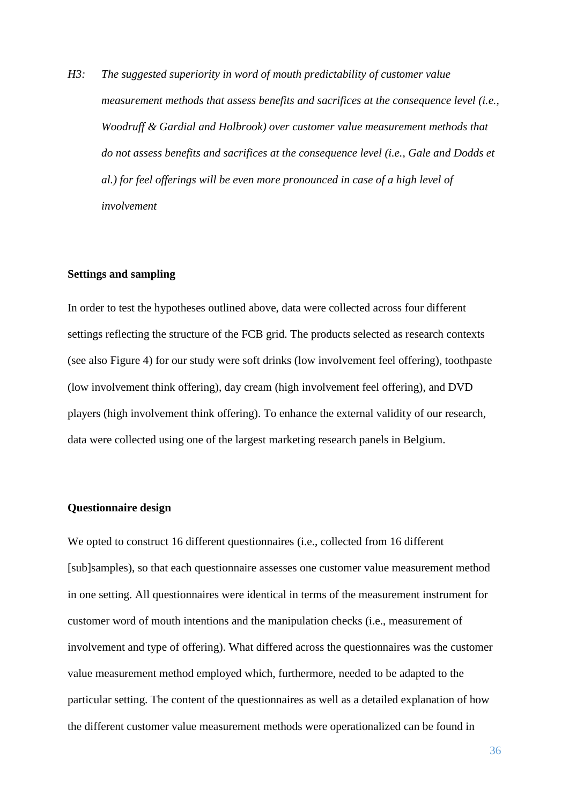*H3: The suggested superiority in word of mouth predictability of customer value measurement methods that assess benefits and sacrifices at the consequence level (i.e., Woodruff & Gardial and Holbrook) over customer value measurement methods that do not assess benefits and sacrifices at the consequence level (i.e., Gale and Dodds et al.) for feel offerings will be even more pronounced in case of a high level of involvement*

#### **Settings and sampling**

In order to test the hypotheses outlined above, data were collected across four different settings reflecting the structure of the FCB grid. The products selected as research contexts (see also Figure 4) for our study were soft drinks (low involvement feel offering), toothpaste (low involvement think offering), day cream (high involvement feel offering), and DVD players (high involvement think offering). To enhance the external validity of our research, data were collected using one of the largest marketing research panels in Belgium.

# **Questionnaire design**

We opted to construct 16 different questionnaires (i.e., collected from 16 different [sub]samples), so that each questionnaire assesses one customer value measurement method in one setting. All questionnaires were identical in terms of the measurement instrument for customer word of mouth intentions and the manipulation checks (i.e., measurement of involvement and type of offering). What differed across the questionnaires was the customer value measurement method employed which, furthermore, needed to be adapted to the particular setting. The content of the questionnaires as well as a detailed explanation of how the different customer value measurement methods were operationalized can be found in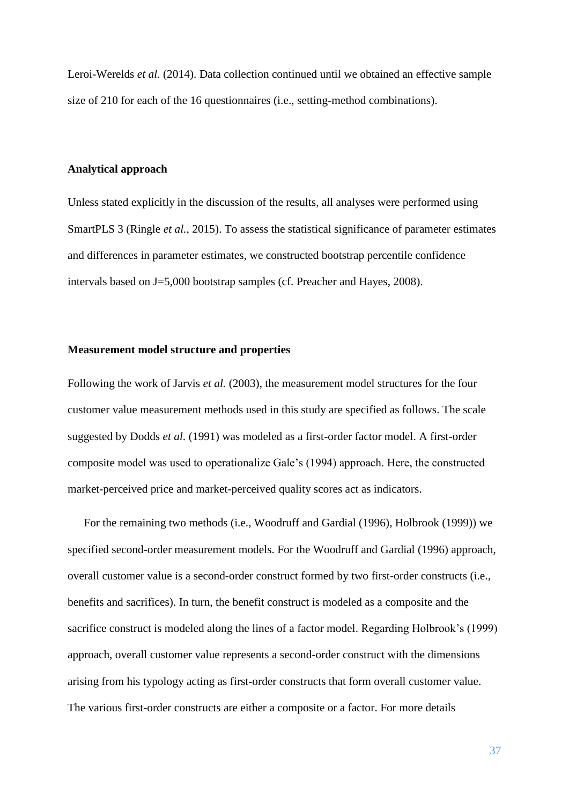Leroi-Werelds *et al.* (2014). Data collection continued until we obtained an effective sample size of 210 for each of the 16 questionnaires (i.e., setting-method combinations).

#### **Analytical approach**

Unless stated explicitly in the discussion of the results, all analyses were performed using SmartPLS 3 (Ringle *et al.*, 2015). To assess the statistical significance of parameter estimates and differences in parameter estimates, we constructed bootstrap percentile confidence intervals based on J=5,000 bootstrap samples (cf. Preacher and Hayes, 2008).

# **Measurement model structure and properties**

Following the work of Jarvis *et al.* (2003), the measurement model structures for the four customer value measurement methods used in this study are specified as follows. The scale suggested by Dodds *et al.* (1991) was modeled as a first-order factor model. A first-order composite model was used to operationalize Gale's (1994) approach. Here, the constructed market-perceived price and market-perceived quality scores act as indicators.

For the remaining two methods (i.e., Woodruff and Gardial (1996), Holbrook (1999)) we specified second-order measurement models. For the Woodruff and Gardial (1996) approach, overall customer value is a second-order construct formed by two first-order constructs (i.e., benefits and sacrifices). In turn, the benefit construct is modeled as a composite and the sacrifice construct is modeled along the lines of a factor model. Regarding Holbrook's (1999) approach, overall customer value represents a second-order construct with the dimensions arising from his typology acting as first-order constructs that form overall customer value. The various first-order constructs are either a composite or a factor. For more details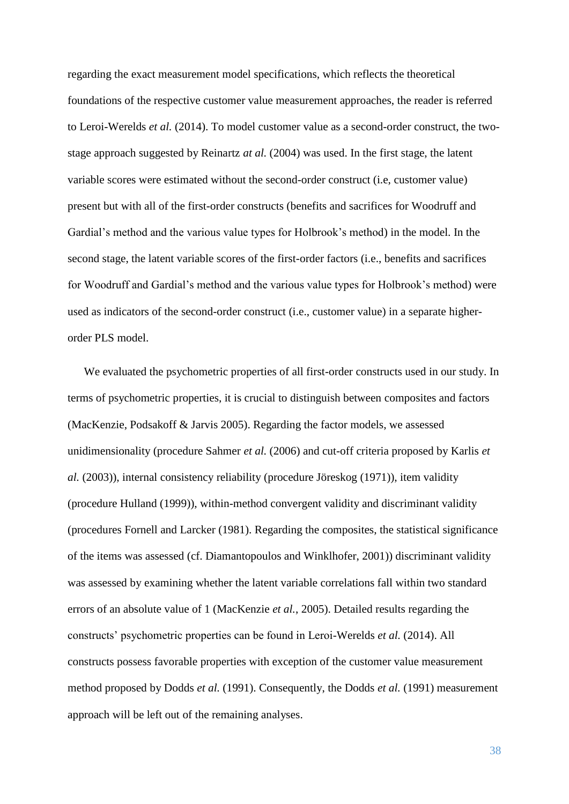regarding the exact measurement model specifications, which reflects the theoretical foundations of the respective customer value measurement approaches, the reader is referred to Leroi-Werelds *et al.* (2014). To model customer value as a second-order construct, the twostage approach suggested by Reinartz *at al.* (2004) was used. In the first stage, the latent variable scores were estimated without the second-order construct (i.e, customer value) present but with all of the first-order constructs (benefits and sacrifices for Woodruff and Gardial's method and the various value types for Holbrook's method) in the model. In the second stage, the latent variable scores of the first-order factors (i.e., benefits and sacrifices for Woodruff and Gardial's method and the various value types for Holbrook's method) were used as indicators of the second-order construct (i.e., customer value) in a separate higherorder PLS model.

We evaluated the psychometric properties of all first-order constructs used in our study. In terms of psychometric properties, it is crucial to distinguish between composites and factors (MacKenzie, Podsakoff & Jarvis 2005). Regarding the factor models, we assessed unidimensionality (procedure Sahmer *et al.* (2006) and cut-off criteria proposed by Karlis *et al.* (2003)), internal consistency reliability (procedure Jöreskog (1971)), item validity (procedure Hulland (1999)), within-method convergent validity and discriminant validity (procedures Fornell and Larcker (1981). Regarding the composites, the statistical significance of the items was assessed (cf. Diamantopoulos and Winklhofer, 2001)) discriminant validity was assessed by examining whether the latent variable correlations fall within two standard errors of an absolute value of 1 (MacKenzie *et al.*, 2005). Detailed results regarding the constructs' psychometric properties can be found in Leroi-Werelds *et al.* (2014). All constructs possess favorable properties with exception of the customer value measurement method proposed by Dodds *et al.* (1991). Consequently, the Dodds *et al.* (1991) measurement approach will be left out of the remaining analyses.

38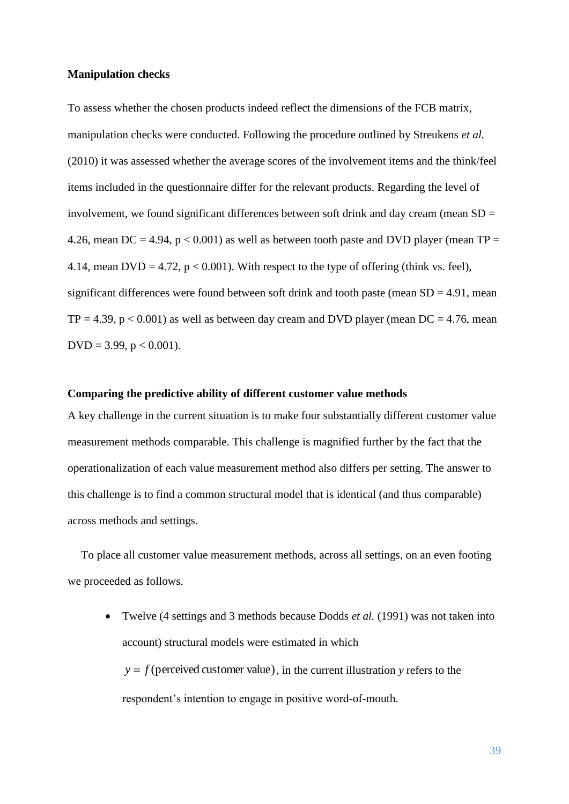#### **Manipulation checks**

To assess whether the chosen products indeed reflect the dimensions of the FCB matrix, manipulation checks were conducted. Following the procedure outlined by Streukens *et al.* (2010) it was assessed whether the average scores of the involvement items and the think/feel items included in the questionnaire differ for the relevant products. Regarding the level of involvement, we found significant differences between soft drink and day cream (mean SD = 4.26, mean DC = 4.94,  $p < 0.001$ ) as well as between tooth paste and DVD player (mean TP = 4.14, mean DVD = 4.72,  $p < 0.001$ ). With respect to the type of offering (think vs. feel), significant differences were found between soft drink and tooth paste (mean  $SD = 4.91$ , mean  $TP = 4.39$ ,  $p < 0.001$ ) as well as between day cream and DVD player (mean DC = 4.76, mean  $DVD = 3.99$ ,  $p < 0.001$ ).

# **Comparing the predictive ability of different customer value methods**

A key challenge in the current situation is to make four substantially different customer value measurement methods comparable. This challenge is magnified further by the fact that the operationalization of each value measurement method also differs per setting. The answer to this challenge is to find a common structural model that is identical (and thus comparable) across methods and settings.

To place all customer value measurement methods, across all settings, on an even footing we proceeded as follows.

 Twelve (4 settings and 3 methods because Dodds *et al.* (1991) was not taken into account) structural models were estimated in which  $y = f$  (perceived customer value), in the current illustration y refers to the respondent's intention to engage in positive word-of-mouth.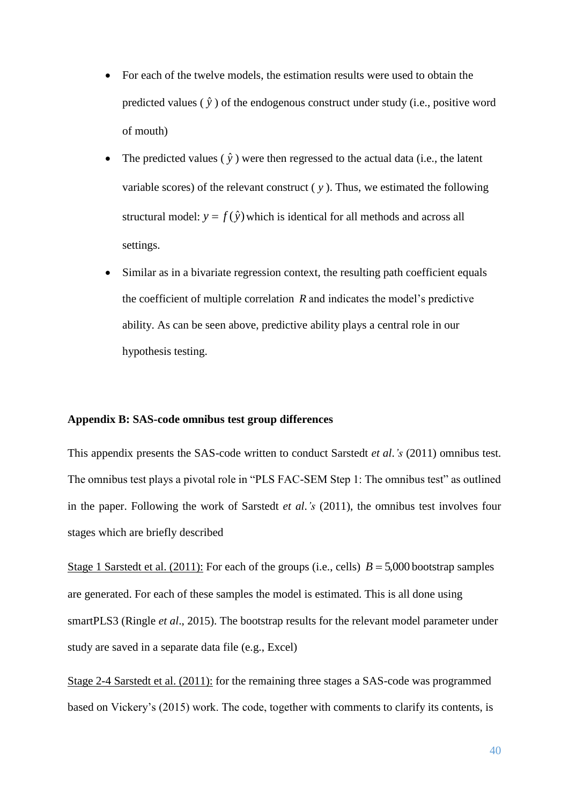- For each of the twelve models, the estimation results were used to obtain the predicted values  $(\hat{y})$  of the endogenous construct under study (i.e., positive word of mouth)
- The predicted values  $(\hat{y})$  were then regressed to the actual data (i.e., the latent variable scores) of the relevant construct ( *y* ). Thus, we estimated the following structural model:  $y = f(\hat{y})$  which is identical for all methods and across all settings.
- Similar as in a bivariate regression context, the resulting path coefficient equals the coefficient of multiple correlation  $R$  and indicates the model's predictive ability. As can be seen above, predictive ability plays a central role in our hypothesis testing.

## **Appendix B: SAS-code omnibus test group differences**

This appendix presents the SAS-code written to conduct Sarstedt *et al*.*'s* (2011) omnibus test. The omnibus test plays a pivotal role in "PLS FAC-SEM Step 1: The omnibus test" as outlined in the paper. Following the work of Sarstedt *et al*.*'s* (2011), the omnibus test involves four stages which are briefly described

Stage 1 Sarstedt et al.  $(2011)$ : For each of the groups (i.e., cells)  $B = 5,000$  bootstrap samples are generated. For each of these samples the model is estimated. This is all done using smartPLS3 (Ringle *et al*., 2015). The bootstrap results for the relevant model parameter under study are saved in a separate data file (e.g., Excel)

Stage 2-4 Sarstedt et al. (2011): for the remaining three stages a SAS-code was programmed based on Vickery's (2015) work. The code, together with comments to clarify its contents, is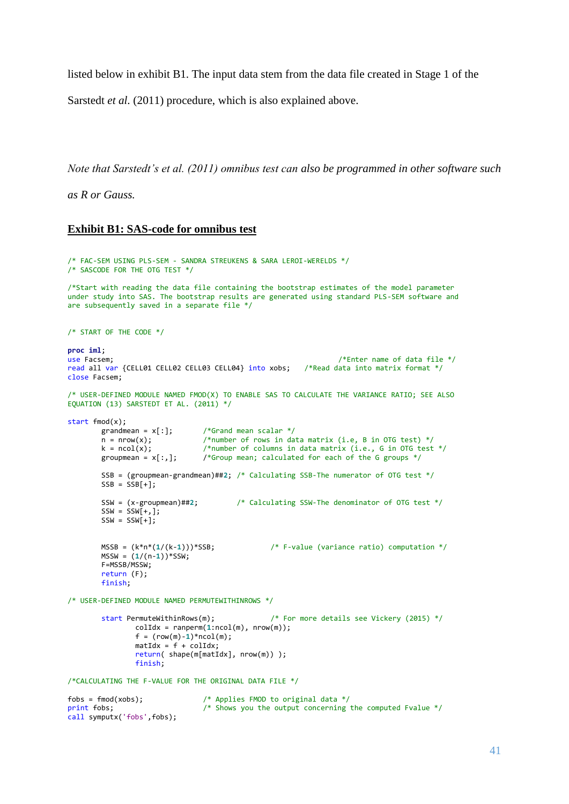listed below in exhibit B1. The input data stem from the data file created in Stage 1 of the

Sarstedt *et al.* (2011) procedure, which is also explained above.

*Note that Sarstedt's et al. (2011) omnibus test can also be programmed in other software such* 

*as R or Gauss.*

#### **Exhibit B1: SAS-code for omnibus test**

```
/* FAC-SEM USING PLS-SEM - SANDRA STREUKENS & SARA LEROI-WERELDS */
/* SASCODE FOR THE OTG TEST */
/*Start with reading the data file containing the bootstrap estimates of the model parameter
under study into SAS. The bootstrap results are generated using standard PLS-SEM software and
are subsequently saved in a separate file */
/* START OF THE CODE */
proc iml;
                                                                           /*Enter name of data file */read all var {CELL01 CELL02 CELL03 CELL04} into xobs; /*Read data into matrix format */
close Facsem;
/* USER-DEFINED MODULE NAMED FMOD(X) TO ENABLE SAS TO CALCULATE THE VARIANCE RATIO; SEE ALSO
EQUATION (13) SARSTEDT ET AL. (2011) */
start fmod(x);
         grandmean = x[:]; /*Grand mean scalar */<br>n = nrow(x); /*number of rows in da
         n = nrow(x);<br>
k = ncol(x):<br>
\begin{array}{ccc} \n 1 & \text{if } n = ncol(x); \\
 2 & \text{if } n = ncol(x); \\
 3 & \text{if } n = ncol(x); \n\end{array}k = ncol(x);<br>
k = ncol(x); /*number of columns in data matrix (i.e., G in OTG test */<br>
groupmean = x[:,]; /*Group mean; calculated for each of the G groups */
                                    /*Group mean; calculated for each of the G groups */
         SSB = (groupmean-grandmean)##2; /* Calculating SSB-The numerator of OTG test */
         SSB = SSB[+];
         SSW = (x-groupmean)##2; /* Calculating SSW-The denominator of OTG test */
         SSW = SSW[+,];SSW = SSWI + 1;
         MSSB = (k*n*(1/(k-1)))*SSB; /* F-value (variance ratio) computation */
         MSSW = (1/(n-1))*SSW;F=MSSB/MSSW;
         return (F);
         finish;
/* USER-DEFINED MODULE NAMED PERMUTEWITHINROWS */
         start PermuteWithinRows(m); /* For more details see Vickery (2015) */
                  colldx = ranperm(1:ncol(m), nrow(m));f = (row(m)-1)*ncol(m);mattdx = f + colIdx;return( shape(m[matIdx], nrow(m)) ); 
                   finish;
/*CALCULATING THE F-VALUE FOR THE ORIGINAL DATA FILE */
fobs = \text{fmod}(xobs);<br>
\begin{array}{ccc} \text{#} & \text{Applies FMOD to original data } \neq \text{print} & \text{fobs}; \\ \text{#} & \text{5hows you the output concerning} \end{array}/* Shows you the output concerning the computed Fvalue */call symputx('fobs',fobs);
```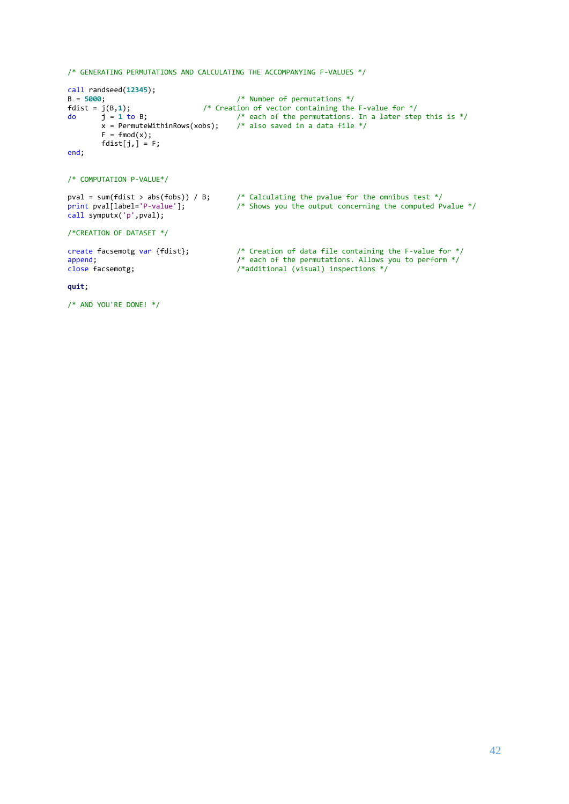```
/* GENERATING PERMUTATIONS AND CALCULATING THE ACCOMPANYING F-VALUES */
call randseed(12345);
B = 5000;<br>
fdist = j(B,1);<br>
fdist = j(B,1);<br>
f*(b) = j(b)<br>
f*(c) = j(b)<br>
f*(c) = j(b)<br>
f*(c) = j(c)<br>
f*(c) = j(c)<br>
f*(c) = j(c)<br>
f*(c) = j(c)<br>
f*(c) = j(c)<br>
f*(c) = j(c)<br>
f*(c) = j(c)<br>
f*(c) = j(c)<br>
f*(c) = j(c)<br>
f*(c) = j(c)<br>
f*(c) = j(c)<br>
f*(c) = j(c)<br>
f*(c)fded in the set of vector containing the F-value for */<br>j = 1 to B;<br>\frac{1}{2} + cach of the permutations. In a later step
do j = 1 to B; /* each of the permutations. In a later step this is */
             x = PermuteWithinRows(xobs); /* also saved in a data file */
             F = \text{fmod}(x);
             fdist[j,] = F;
end;
/* COMPUTATION P-VALUE*/
pval = sum(fdist > abs(fobs)) / B; /* Calculating the pvalue for the omnibus test */
print pval[label='P-value']; /* Shows you the output concerning the computed Pvalue */
call symputx('p',pval);
/*CREATION OF DATASET */
create facsemotg var {fdist}; \frac{1}{2} /* Creation of data file containing the F-value for */<br>append: \frac{1}{2} /* each of the permutations. Allows you to perform */
append;<br>
\begin{array}{ccc}\n\text{append}; & & \\
\text{close} & \text{f} & \\
\text{close} & & \\
\end{array} /* each of the permutations. Allows you to perform */<br>
\begin{array}{ccc}\n\text{f} & \\
\text{f} & \\
\text{f} & \\
\end{array}/* additional (visual) inspections */quit;
```

```
/* AND YOU'RE DONE! */
```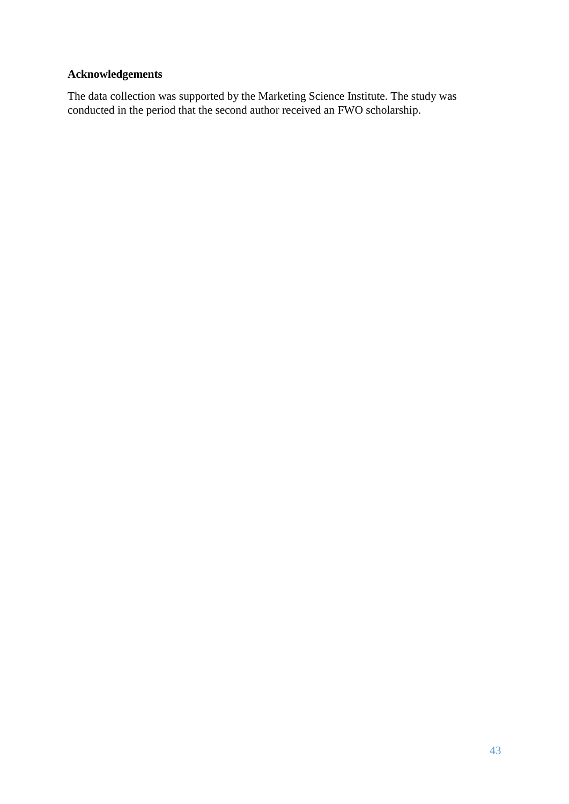# **Acknowledgements**

The data collection was supported by the Marketing Science Institute. The study was conducted in the period that the second author received an FWO scholarship.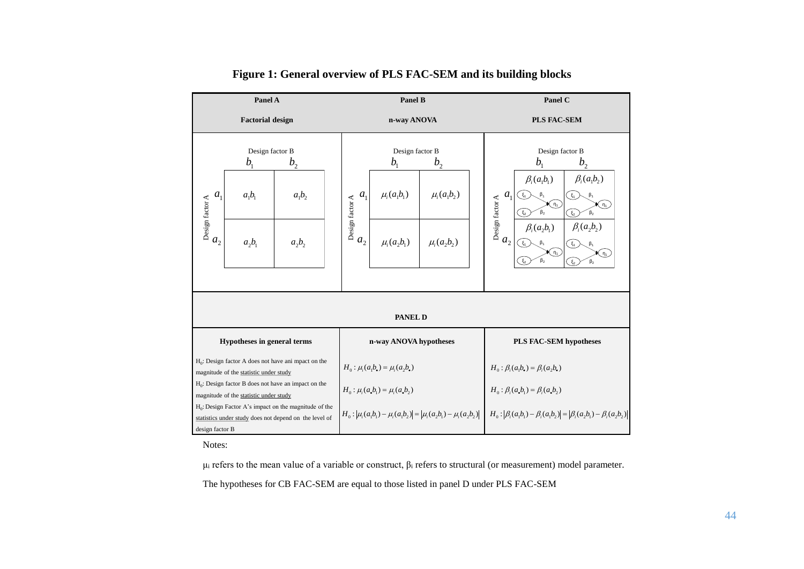| Panel A                                                                                                            |                                                                                                     | <b>Panel B</b>         |                                                                                                                                                           |                                                                        | Panel C                                                          |                                                                                                                                                                                                      |                                                                                                           |
|--------------------------------------------------------------------------------------------------------------------|-----------------------------------------------------------------------------------------------------|------------------------|-----------------------------------------------------------------------------------------------------------------------------------------------------------|------------------------------------------------------------------------|------------------------------------------------------------------|------------------------------------------------------------------------------------------------------------------------------------------------------------------------------------------------------|-----------------------------------------------------------------------------------------------------------|
| <b>Factorial design</b>                                                                                            |                                                                                                     |                        | n-way ANOVA                                                                                                                                               |                                                                        | <b>PLS FAC-SEM</b>                                               |                                                                                                                                                                                                      |                                                                                                           |
| a <sub>1</sub><br>$\begin{array}{c}\n a \\  \Delta \\  \vdots \\  a_2\n \end{array}$                               | Design factor B<br>b <sub>1</sub><br>b <sub>2</sub><br>$a_1b_1$<br>$a_1b_2$<br>$a_2b_1$<br>$a_2b_2$ |                        | a <sub>1</sub><br>Design factor A<br>a <sub>2</sub>                                                                                                       | Design factor B<br>$b_{1}$<br>$\mu_{i}(a_{1}b_{1})$<br>$\mu_i(a_2b_1)$ | b <sub>2</sub><br>$\mu_{i}(a_{1}b_{2})$<br>$\mu_{i}(a_{2}b_{2})$ | Design factor B<br>$b_{1}$<br>$\beta_i(a_1b_1)$<br>a <sub>1</sub><br>$\xi_1$<br>$\beta_1$<br>Design factor A<br>Κη,`<br>$\upbeta_2$<br>$\xi_{2}$<br>$\beta_i(a_2b_1)$<br>a <sub>2</sub><br>$(\xi_1)$ | b <sub>2</sub><br>$\beta_i(a_1b_2)$<br>$\xi_1$<br>Κη,<br>$\beta_2$<br>(r.<br>$\beta_i(a_2b_2)$<br>$\xi_1$ |
| (กุ่)<br>≯( η,<br>$\beta_2$<br>$\beta_2$<br>$(\xi_{2})$                                                            |                                                                                                     |                        |                                                                                                                                                           |                                                                        |                                                                  |                                                                                                                                                                                                      |                                                                                                           |
| PANEL D                                                                                                            |                                                                                                     |                        |                                                                                                                                                           |                                                                        |                                                                  |                                                                                                                                                                                                      |                                                                                                           |
| Hypotheses in general terms                                                                                        |                                                                                                     | n-way ANOVA hypotheses |                                                                                                                                                           |                                                                        | <b>PLS FAC-SEM hypotheses</b>                                    |                                                                                                                                                                                                      |                                                                                                           |
| $H_0$ : Design factor A does not have ani mpact on the<br>magnitude of the statistic under study                   |                                                                                                     |                        | $H_0: \mu_i(a_1b_*) = \mu_i(a_2b_*)$                                                                                                                      |                                                                        | $H_0: \beta_i(a_1b_*) = \beta_i(a_2b_*)$                         |                                                                                                                                                                                                      |                                                                                                           |
| $H_0$ : Design factor B does not have an impact on the<br>magnitude of the statistic under study                   |                                                                                                     |                        | $H_0: \mu_i(a_{\bullet}b_1) = \mu_i(a_{\bullet}b_2)$                                                                                                      |                                                                        | $H_0: \beta_i(a_{\bullet}b_1) = \beta_i(a_{\bullet}b_2)$         |                                                                                                                                                                                                      |                                                                                                           |
| $H_0$ : Design Factor A's impact on the magnitude of the<br>statistics under study does not depend on the level of |                                                                                                     |                        | $H_0:  \mu_i(a_1b_1) - \mu_i(a_1b_2)  =  \mu_i(a_2b_1) - \mu_i(a_2b_2)  + H_0:  \beta_i(a_1b_1) - \beta_i(a_1b_2)  =  \beta_i(a_2b_1) - \beta_i(a_2b_2) $ |                                                                        |                                                                  |                                                                                                                                                                                                      |                                                                                                           |
| design factor B                                                                                                    |                                                                                                     |                        |                                                                                                                                                           |                                                                        |                                                                  |                                                                                                                                                                                                      |                                                                                                           |

**Figure 1: General overview of PLS FAC-SEM and its building blocks**

Notes:

μ<sub>i</sub> refers to the mean value of a variable or construct,  $β_i$  refers to structural (or measurement) model parameter.

The hypotheses for CB FAC-SEM are equal to those listed in panel D under PLS FAC-SEM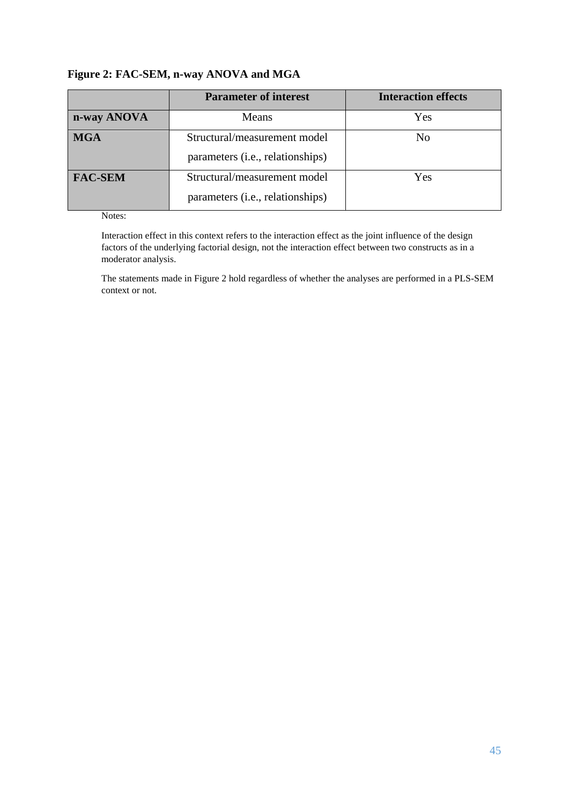# **Figure 2: FAC-SEM, n-way ANOVA and MGA**

|                | <b>Parameter of interest</b>     | <b>Interaction effects</b> |
|----------------|----------------------------------|----------------------------|
| n-way ANOVA    | Means                            | Yes                        |
| <b>MGA</b>     | Structural/measurement model     | N <sub>0</sub>             |
|                | parameters (i.e., relationships) |                            |
| <b>FAC-SEM</b> | Structural/measurement model     | Yes                        |
|                | parameters (i.e., relationships) |                            |

#### Notes:

Interaction effect in this context refers to the interaction effect as the joint influence of the design factors of the underlying factorial design, not the interaction effect between two constructs as in a moderator analysis.

The statements made in Figure 2 hold regardless of whether the analyses are performed in a PLS-SEM context or not.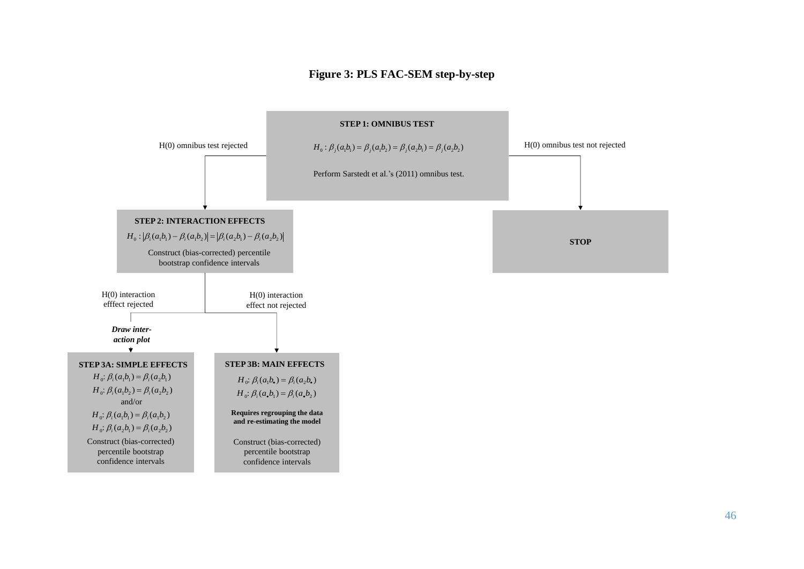# **Figure 3: PLS FAC-SEM step-by-step**

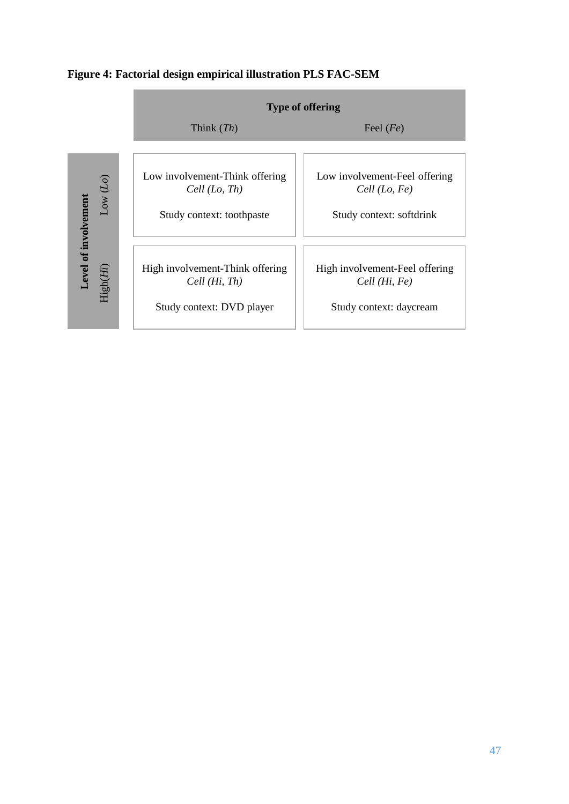

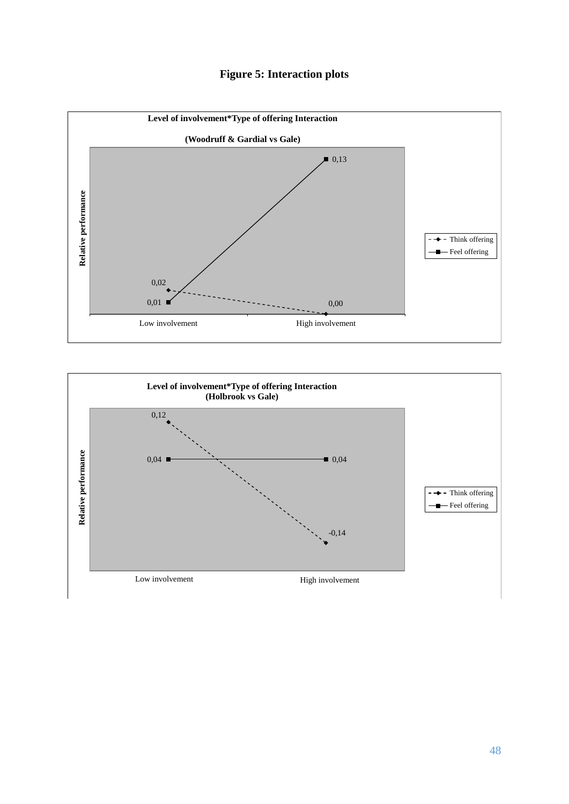